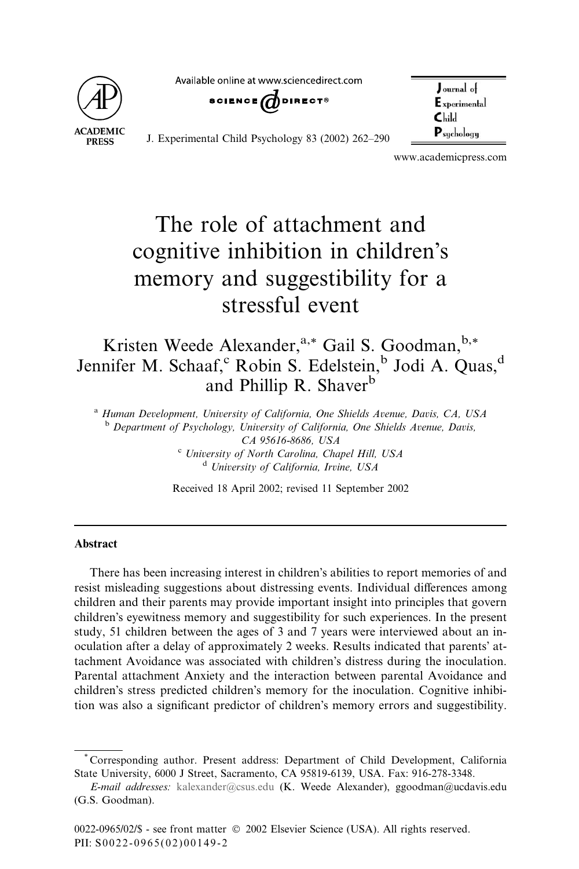Available online at www.sciencedirect.com



SCIENCE  $\bigcap$  DIRECT<sup>®</sup>

J. Experimental Child Psychology 83 (2002) 262–290

 $J$ ournal of  $E_{\rm xberimental}$  $Chil$  $\mathbf{P}_{\text{suchologu}}$ 

www.academicpress.com

# The role of attachment and cognitive inhibition in children's memory and suggestibility for a stressful event

Kristen Weede Alexander,<sup>a,\*</sup> Gail S. Goodman.<sup>b,\*</sup> Jennifer M. Schaaf, Robin S. Edelstein, Jodi A. Quas, d and Phillip R. Shaver<sup>b</sup>

<sup>a</sup> Human Development, University of California, One Shields Avenue, Davis, CA, USA  $<sup>b</sup>$  Department of Psychology, University of California, One Shields Avenue, Davis,</sup> CA 95616-8686, USA  $c$  University of North Carolina, Chapel Hill, USA <sup>d</sup> University of California, Irvine, USA

Received 18 April 2002; revised 11 September 2002

## Abstract

There has been increasing interest in children's abilities to report memories of and resist misleading suggestions about distressing events. Individual differences among children and their parents may provide important insight into principles that govern children's eyewitness memory and suggestibility for such experiences. In the present study, 51 children between the ages of 3 and 7 years were interviewed about an inoculation after a delay of approximately 2 weeks. Results indicated that parents attachment Avoidance was associated with children's distress during the inoculation. Parental attachment Anxiety and the interaction between parental Avoidance and children's stress predicted children's memory for the inoculation. Cognitive inhibition was also a significant predictor of children's memory errors and suggestibility.

<sup>\*</sup> Corresponding author. Present address: Department of Child Development, California State University, 6000 J Street, Sacramento, CA 95819-6139, USA. Fax: 916-278-3348.

E-mail addresses: [kalexander@csus.edu](mail to: kalexander@csus.edu) (K. Weede Alexander), ggoodman@ucdavis.edu (G.S. Goodman).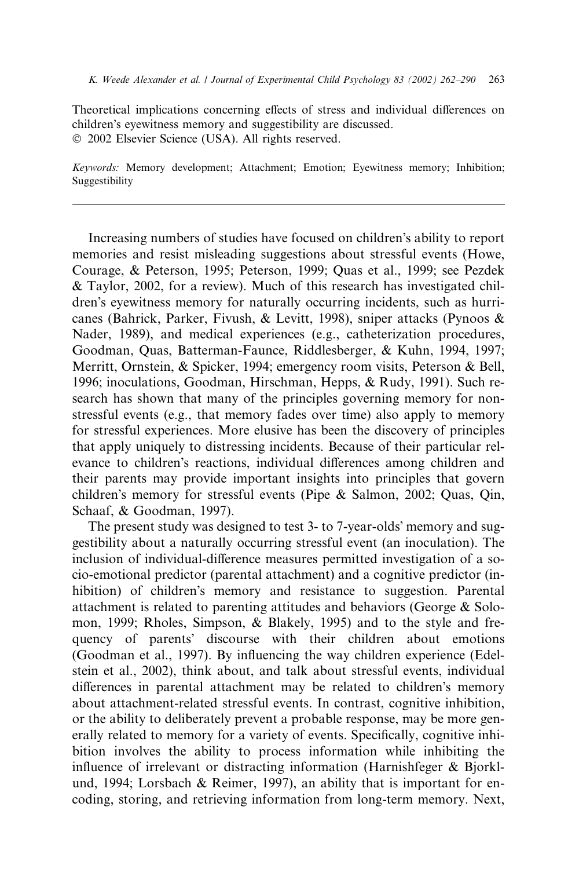Theoretical implications concerning effects of stress and individual differences on children's eyewitness memory and suggestibility are discussed. 2002 Elsevier Science (USA). All rights reserved.

Keywords: Memory development; Attachment; Emotion; Eyewitness memory; Inhibition; Suggestibility

Increasing numbers of studies have focused on children's ability to report memories and resist misleading suggestions about stressful events (Howe, Courage, & Peterson, 1995; Peterson, 1999; Quas et al., 1999; see Pezdek & Taylor, 2002, for a review). Much of this research has investigated children's eyewitness memory for naturally occurring incidents, such as hurricanes (Bahrick, Parker, Fivush, & Levitt, 1998), sniper attacks (Pynoos & Nader, 1989), and medical experiences (e.g., catheterization procedures, Goodman, Quas, Batterman-Faunce, Riddlesberger, & Kuhn, 1994, 1997; Merritt, Ornstein, & Spicker, 1994; emergency room visits, Peterson & Bell, 1996; inoculations, Goodman, Hirschman, Hepps, & Rudy, 1991). Such research has shown that many of the principles governing memory for nonstressful events (e.g., that memory fades over time) also apply to memory for stressful experiences. More elusive has been the discovery of principles that apply uniquely to distressing incidents. Because of their particular relevance to children's reactions, individual differences among children and their parents may provide important insights into principles that govern children's memory for stressful events (Pipe & Salmon, 2002; Quas, Qin, Schaaf, & Goodman, 1997).

The present study was designed to test 3- to 7-year-olds' memory and suggestibility about a naturally occurring stressful event (an inoculation). The inclusion of individual-difference measures permitted investigation of a socio-emotional predictor (parental attachment) and a cognitive predictor (inhibition) of children's memory and resistance to suggestion. Parental attachment is related to parenting attitudes and behaviors (George & Solomon, 1999; Rholes, Simpson, & Blakely, 1995) and to the style and frequency of parents' discourse with their children about emotions (Goodman et al., 1997). By influencing the way children experience (Edelstein et al., 2002), think about, and talk about stressful events, individual differences in parental attachment may be related to children's memory about attachment-related stressful events. In contrast, cognitive inhibition, or the ability to deliberately prevent a probable response, may be more generally related to memory for a variety of events. Specifically, cognitive inhibition involves the ability to process information while inhibiting the influence of irrelevant or distracting information (Harnishfeger & Bjorklund, 1994; Lorsbach & Reimer, 1997), an ability that is important for encoding, storing, and retrieving information from long-term memory. Next,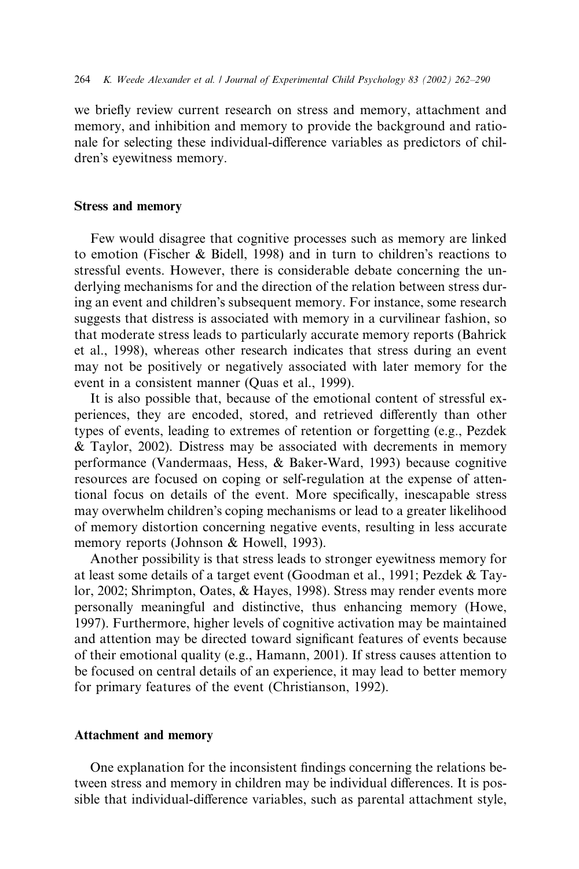we briefly review current research on stress and memory, attachment and memory, and inhibition and memory to provide the background and rationale for selecting these individual-difference variables as predictors of children's eyewitness memory.

#### Stress and memory

Few would disagree that cognitive processes such as memory are linked to emotion (Fischer  $& B$ idell, 1998) and in turn to children's reactions to stressful events. However, there is considerable debate concerning the underlying mechanisms for and the direction of the relation between stress during an event and children's subsequent memory. For instance, some research suggests that distress is associated with memory in a curvilinear fashion, so that moderate stress leads to particularly accurate memory reports (Bahrick et al., 1998), whereas other research indicates that stress during an event may not be positively or negatively associated with later memory for the event in a consistent manner (Quas et al., 1999).

It is also possible that, because of the emotional content of stressful experiences, they are encoded, stored, and retrieved differently than other types of events, leading to extremes of retention or forgetting (e.g., Pezdek & Taylor, 2002). Distress may be associated with decrements in memory performance (Vandermaas, Hess, & Baker-Ward, 1993) because cognitive resources are focused on coping or self-regulation at the expense of attentional focus on details of the event. More specifically, inescapable stress may overwhelm children's coping mechanisms or lead to a greater likelihood of memory distortion concerning negative events, resulting in less accurate memory reports (Johnson & Howell, 1993).

Another possibility is that stress leads to stronger eyewitness memory for at least some details of a target event (Goodman et al., 1991; Pezdek & Taylor, 2002; Shrimpton, Oates, & Hayes, 1998). Stress may render events more personally meaningful and distinctive, thus enhancing memory (Howe, 1997). Furthermore, higher levels of cognitive activation may be maintained and attention may be directed toward significant features of events because of their emotional quality (e.g., Hamann, 2001). If stress causes attention to be focused on central details of an experience, it may lead to better memory for primary features of the event (Christianson, 1992).

#### Attachment and memory

One explanation for the inconsistent findings concerning the relations between stress and memory in children may be individual differences. It is possible that individual-difference variables, such as parental attachment style,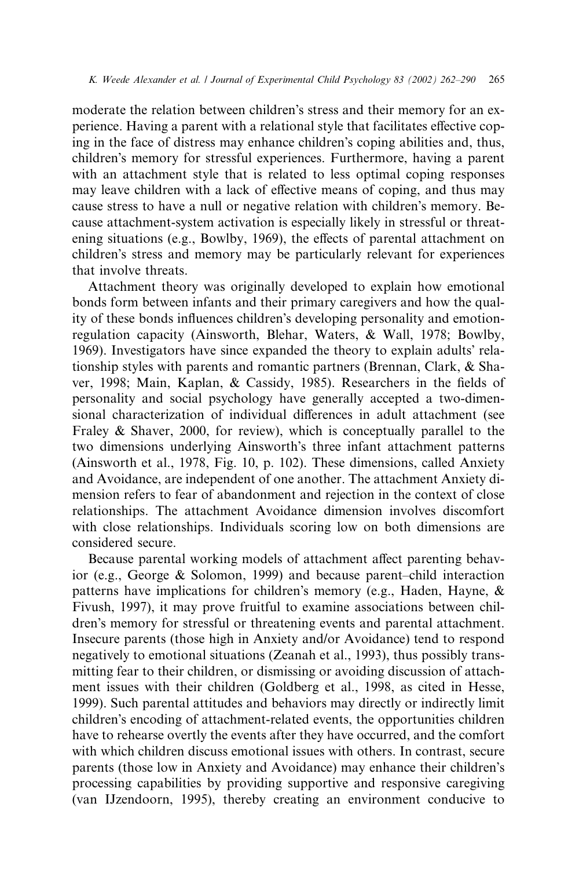moderate the relation between children's stress and their memory for an experience. Having a parent with a relational style that facilitates effective coping in the face of distress may enhance children's coping abilities and, thus, children's memory for stressful experiences. Furthermore, having a parent with an attachment style that is related to less optimal coping responses may leave children with a lack of effective means of coping, and thus may cause stress to have a null or negative relation with children's memory. Because attachment-system activation is especially likely in stressful or threatening situations (e.g., Bowlby, 1969), the effects of parental attachment on children's stress and memory may be particularly relevant for experiences that involve threats.

Attachment theory was originally developed to explain how emotional bonds form between infants and their primary caregivers and how the quality of these bonds influences children's developing personality and emotionregulation capacity (Ainsworth, Blehar, Waters, & Wall, 1978; Bowlby, 1969). Investigators have since expanded the theory to explain adults' relationship styles with parents and romantic partners (Brennan, Clark, & Shaver, 1998; Main, Kaplan, & Cassidy, 1985). Researchers in the fields of personality and social psychology have generally accepted a two-dimensional characterization of individual differences in adult attachment (see Fraley & Shaver, 2000, for review), which is conceptually parallel to the two dimensions underlying Ainsworth's three infant attachment patterns (Ainsworth et al., 1978, Fig. 10, p. 102). These dimensions, called Anxiety and Avoidance, are independent of one another. The attachment Anxiety dimension refers to fear of abandonment and rejection in the context of close relationships. The attachment Avoidance dimension involves discomfort with close relationships. Individuals scoring low on both dimensions are considered secure.

Because parental working models of attachment affect parenting behavior (e.g., George & Solomon, 1999) and because parent–child interaction patterns have implications for children's memory (e.g., Haden, Hayne,  $\&$ Fivush, 1997), it may prove fruitful to examine associations between children's memory for stressful or threatening events and parental attachment. Insecure parents (those high in Anxiety and/or Avoidance) tend to respond negatively to emotional situations (Zeanah et al., 1993), thus possibly transmitting fear to their children, or dismissing or avoiding discussion of attachment issues with their children (Goldberg et al., 1998, as cited in Hesse, 1999). Such parental attitudes and behaviors may directly or indirectly limit children's encoding of attachment-related events, the opportunities children have to rehearse overtly the events after they have occurred, and the comfort with which children discuss emotional issues with others. In contrast, secure parents (those low in Anxiety and Avoidance) may enhance their children's processing capabilities by providing supportive and responsive caregiving (van IJzendoorn, 1995), thereby creating an environment conducive to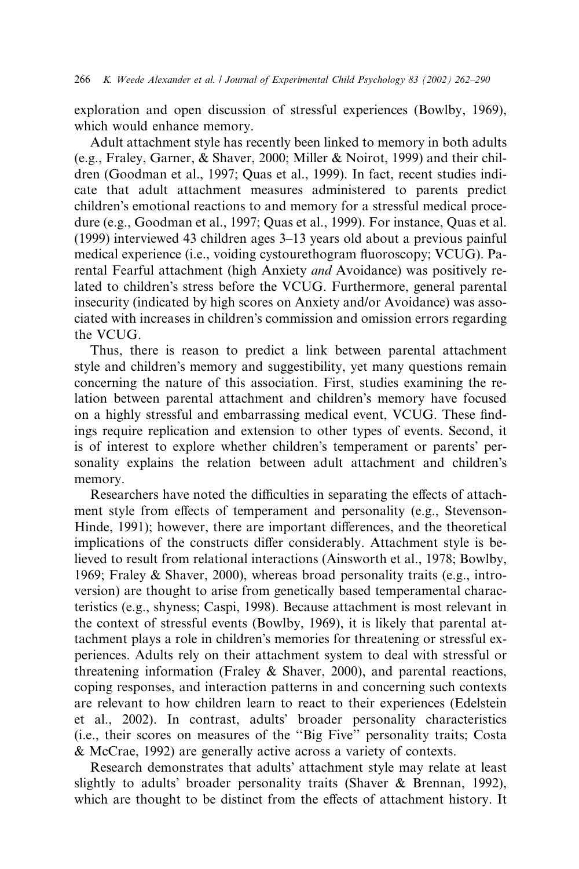exploration and open discussion of stressful experiences (Bowlby, 1969), which would enhance memory.

Adult attachment style has recently been linked to memory in both adults (e.g., Fraley, Garner, & Shaver, 2000; Miller & Noirot, 1999) and their children (Goodman et al., 1997; Quas et al., 1999). In fact, recent studies indicate that adult attachment measures administered to parents predict children's emotional reactions to and memory for a stressful medical procedure (e.g., Goodman et al., 1997; Quas et al., 1999). For instance, Quas et al. (1999) interviewed 43 children ages 3–13 years old about a previous painful medical experience (i.e., voiding cystourethogram fluoroscopy; VCUG). Parental Fearful attachment (high Anxiety and Avoidance) was positively related to children's stress before the VCUG. Furthermore, general parental insecurity (indicated by high scores on Anxiety and/or Avoidance) was associated with increases in children's commission and omission errors regarding the VCUG.

Thus, there is reason to predict a link between parental attachment style and children's memory and suggestibility, yet many questions remain concerning the nature of this association. First, studies examining the relation between parental attachment and children's memory have focused on a highly stressful and embarrassing medical event, VCUG. These findings require replication and extension to other types of events. Second, it is of interest to explore whether children's temperament or parents' personality explains the relation between adult attachment and children's memory.

Researchers have noted the difficulties in separating the effects of attachment style from effects of temperament and personality (e.g., Stevenson-Hinde, 1991); however, there are important differences, and the theoretical implications of the constructs differ considerably. Attachment style is believed to result from relational interactions (Ainsworth et al., 1978; Bowlby, 1969; Fraley & Shaver, 2000), whereas broad personality traits (e.g., introversion) are thought to arise from genetically based temperamental characteristics (e.g., shyness; Caspi, 1998). Because attachment is most relevant in the context of stressful events (Bowlby, 1969), it is likely that parental attachment plays a role in children's memories for threatening or stressful experiences. Adults rely on their attachment system to deal with stressful or threatening information (Fraley & Shaver, 2000), and parental reactions, coping responses, and interaction patterns in and concerning such contexts are relevant to how children learn to react to their experiences (Edelstein et al., 2002). In contrast, adults' broader personality characteristics (i.e., their scores on measures of the ''Big Five'' personality traits; Costa & McCrae, 1992) are generally active across a variety of contexts.

Research demonstrates that adults' attachment style may relate at least slightly to adults' broader personality traits (Shaver  $\&$  Brennan, 1992), which are thought to be distinct from the effects of attachment history. It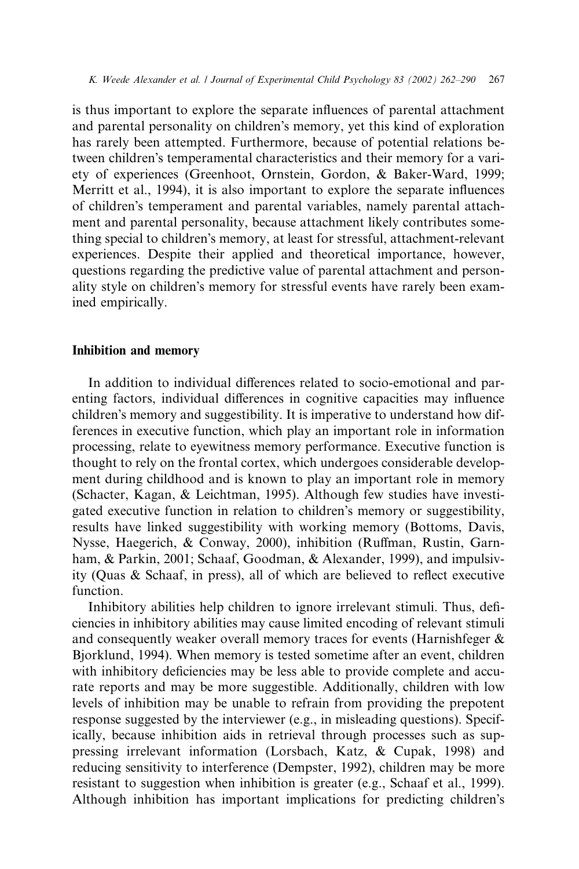is thus important to explore the separate influences of parental attachment and parental personality on children's memory, yet this kind of exploration has rarely been attempted. Furthermore, because of potential relations between children's temperamental characteristics and their memory for a variety of experiences (Greenhoot, Ornstein, Gordon, & Baker-Ward, 1999; Merritt et al., 1994), it is also important to explore the separate influences of children's temperament and parental variables, namely parental attachment and parental personality, because attachment likely contributes something special to children's memory, at least for stressful, attachment-relevant experiences. Despite their applied and theoretical importance, however, questions regarding the predictive value of parental attachment and personality style on children's memory for stressful events have rarely been examined empirically.

#### Inhibition and memory

In addition to individual differences related to socio-emotional and parenting factors, individual differences in cognitive capacities may influence children's memory and suggestibility. It is imperative to understand how differences in executive function, which play an important role in information processing, relate to eyewitness memory performance. Executive function is thought to rely on the frontal cortex, which undergoes considerable development during childhood and is known to play an important role in memory (Schacter, Kagan, & Leichtman, 1995). Although few studies have investigated executive function in relation to children's memory or suggestibility, results have linked suggestibility with working memory (Bottoms, Davis, Nysse, Haegerich, & Conway, 2000), inhibition (Ruffman, Rustin, Garnham, & Parkin, 2001; Schaaf, Goodman, & Alexander, 1999), and impulsivity (Quas & Schaaf, in press), all of which are believed to reflect executive function.

Inhibitory abilities help children to ignore irrelevant stimuli. Thus, deficiencies in inhibitory abilities may cause limited encoding of relevant stimuli and consequently weaker overall memory traces for events (Harnishfeger  $\&$ Bjorklund, 1994). When memory is tested sometime after an event, children with inhibitory deficiencies may be less able to provide complete and accurate reports and may be more suggestible. Additionally, children with low levels of inhibition may be unable to refrain from providing the prepotent response suggested by the interviewer (e.g., in misleading questions). Specifically, because inhibition aids in retrieval through processes such as suppressing irrelevant information (Lorsbach, Katz, & Cupak, 1998) and reducing sensitivity to interference (Dempster, 1992), children may be more resistant to suggestion when inhibition is greater (e.g., Schaaf et al., 1999). Although inhibition has important implications for predicting children's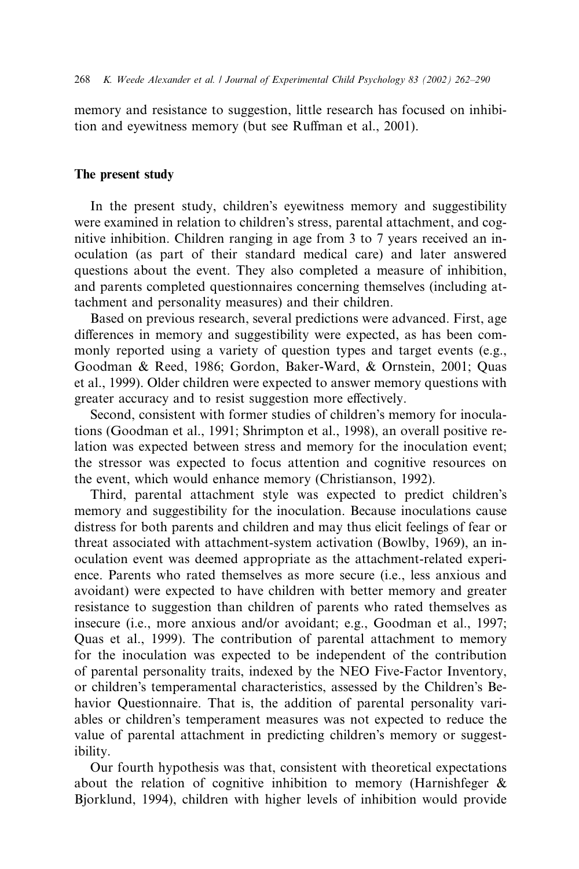memory and resistance to suggestion, little research has focused on inhibition and eyewitness memory (but see Ruffman et al., 2001).

#### The present study

In the present study, children's eyewitness memory and suggestibility were examined in relation to children's stress, parental attachment, and cognitive inhibition. Children ranging in age from 3 to 7 years received an inoculation (as part of their standard medical care) and later answered questions about the event. They also completed a measure of inhibition, and parents completed questionnaires concerning themselves (including attachment and personality measures) and their children.

Based on previous research, several predictions were advanced. First, age differences in memory and suggestibility were expected, as has been commonly reported using a variety of question types and target events (e.g., Goodman & Reed, 1986; Gordon, Baker-Ward, & Ornstein, 2001; Quas et al., 1999). Older children were expected to answer memory questions with greater accuracy and to resist suggestion more effectively.

Second, consistent with former studies of children's memory for inoculations (Goodman et al., 1991; Shrimpton et al., 1998), an overall positive relation was expected between stress and memory for the inoculation event; the stressor was expected to focus attention and cognitive resources on the event, which would enhance memory (Christianson, 1992).

Third, parental attachment style was expected to predict children's memory and suggestibility for the inoculation. Because inoculations cause distress for both parents and children and may thus elicit feelings of fear or threat associated with attachment-system activation (Bowlby, 1969), an inoculation event was deemed appropriate as the attachment-related experience. Parents who rated themselves as more secure (i.e., less anxious and avoidant) were expected to have children with better memory and greater resistance to suggestion than children of parents who rated themselves as insecure (i.e., more anxious and/or avoidant; e.g., Goodman et al., 1997; Quas et al., 1999). The contribution of parental attachment to memory for the inoculation was expected to be independent of the contribution of parental personality traits, indexed by the NEO Five-Factor Inventory, or children's temperamental characteristics, assessed by the Children's Behavior Questionnaire. That is, the addition of parental personality variables or children's temperament measures was not expected to reduce the value of parental attachment in predicting children's memory or suggestibility.

Our fourth hypothesis was that, consistent with theoretical expectations about the relation of cognitive inhibition to memory (Harnishfeger  $\&$ Bjorklund, 1994), children with higher levels of inhibition would provide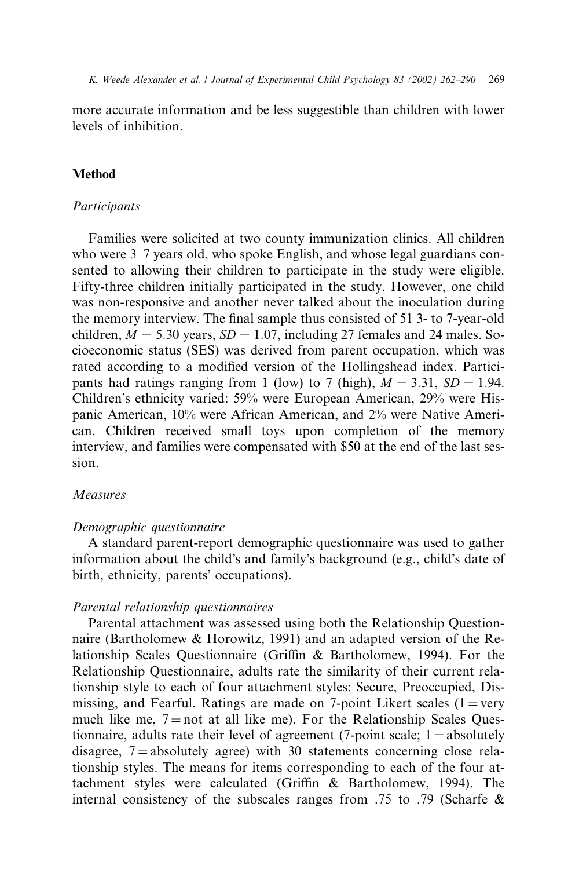more accurate information and be less suggestible than children with lower levels of inhibition.

# Method

#### **Participants**

Families were solicited at two county immunization clinics. All children who were 3–7 years old, who spoke English, and whose legal guardians consented to allowing their children to participate in the study were eligible. Fifty-three children initially participated in the study. However, one child was non-responsive and another never talked about the inoculation during the memory interview. The final sample thus consisted of 51 3- to 7-year-old children,  $M = 5.30$  years,  $SD = 1.07$ , including 27 females and 24 males. Socioeconomic status (SES) was derived from parent occupation, which was rated according to a modified version of the Hollingshead index. Participants had ratings ranging from 1 (low) to 7 (high),  $M = 3.31$ ,  $SD = 1.94$ . Children's ethnicity varied: 59% were European American, 29% were Hispanic American, 10% were African American, and 2% were Native American. Children received small toys upon completion of the memory interview, and families were compensated with \$50 at the end of the last session.

#### Measures

#### Demographic questionnaire

A standard parent-report demographic questionnaire was used to gather information about the child's and family's background (e.g., child's date of birth, ethnicity, parents' occupations).

#### Parental relationship questionnaires

Parental attachment was assessed using both the Relationship Questionnaire (Bartholomew & Horowitz, 1991) and an adapted version of the Relationship Scales Questionnaire (Griffin & Bartholomew, 1994). For the Relationship Questionnaire, adults rate the similarity of their current relationship style to each of four attachment styles: Secure, Preoccupied, Dismissing, and Fearful. Ratings are made on 7-point Likert scales  $(1 = \text{very})$ much like me,  $7 = not$  at all like me). For the Relationship Scales Questionnaire, adults rate their level of agreement (7-point scale;  $1 =$ absolutely disagree,  $7 =$  absolutely agree) with 30 statements concerning close relationship styles. The means for items corresponding to each of the four attachment styles were calculated (Griffin & Bartholomew, 1994). The internal consistency of the subscales ranges from .75 to .79 (Scharfe  $\&$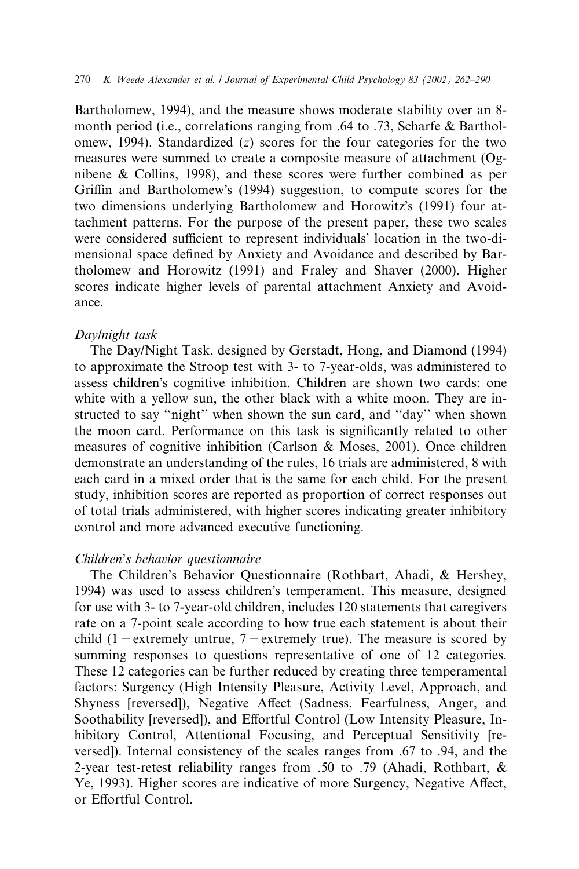Bartholomew, 1994), and the measure shows moderate stability over an 8 month period (i.e., correlations ranging from .64 to .73, Scharfe & Bartholomew, 1994). Standardized  $(z)$  scores for the four categories for the two measures were summed to create a composite measure of attachment (Ognibene & Collins, 1998), and these scores were further combined as per Griffin and Bartholomew's (1994) suggestion, to compute scores for the two dimensions underlying Bartholomew and Horowitzs (1991) four attachment patterns. For the purpose of the present paper, these two scales were considered sufficient to represent individuals' location in the two-dimensional space defined by Anxiety and Avoidance and described by Bartholomew and Horowitz (1991) and Fraley and Shaver (2000). Higher scores indicate higher levels of parental attachment Anxiety and Avoidance.

## Day/night task

The Day/Night Task, designed by Gerstadt, Hong, and Diamond (1994) to approximate the Stroop test with 3- to 7-year-olds, was administered to assess children's cognitive inhibition. Children are shown two cards: one white with a yellow sun, the other black with a white moon. They are instructed to say ''night'' when shown the sun card, and ''day'' when shown the moon card. Performance on this task is significantly related to other measures of cognitive inhibition (Carlson & Moses, 2001). Once children demonstrate an understanding of the rules, 16 trials are administered, 8 with each card in a mixed order that is the same for each child. For the present study, inhibition scores are reported as proportion of correct responses out of total trials administered, with higher scores indicating greater inhibitory control and more advanced executive functioning.

#### Children's behavior questionnaire

The Children's Behavior Questionnaire (Rothbart, Ahadi, & Hershey, 1994) was used to assess children's temperament. This measure, designed for use with 3- to 7-year-old children, includes 120 statements that caregivers rate on a 7-point scale according to how true each statement is about their child (1 = extremely untrue, 7 = extremely true). The measure is scored by summing responses to questions representative of one of 12 categories. These 12 categories can be further reduced by creating three temperamental factors: Surgency (High Intensity Pleasure, Activity Level, Approach, and Shyness [reversed]), Negative Affect (Sadness, Fearfulness, Anger, and Soothability [reversed]), and Effortful Control (Low Intensity Pleasure, Inhibitory Control, Attentional Focusing, and Perceptual Sensitivity [reversed]). Internal consistency of the scales ranges from .67 to .94, and the 2-year test-retest reliability ranges from .50 to .79 (Ahadi, Rothbart, & Ye, 1993). Higher scores are indicative of more Surgency, Negative Affect, or Effortful Control.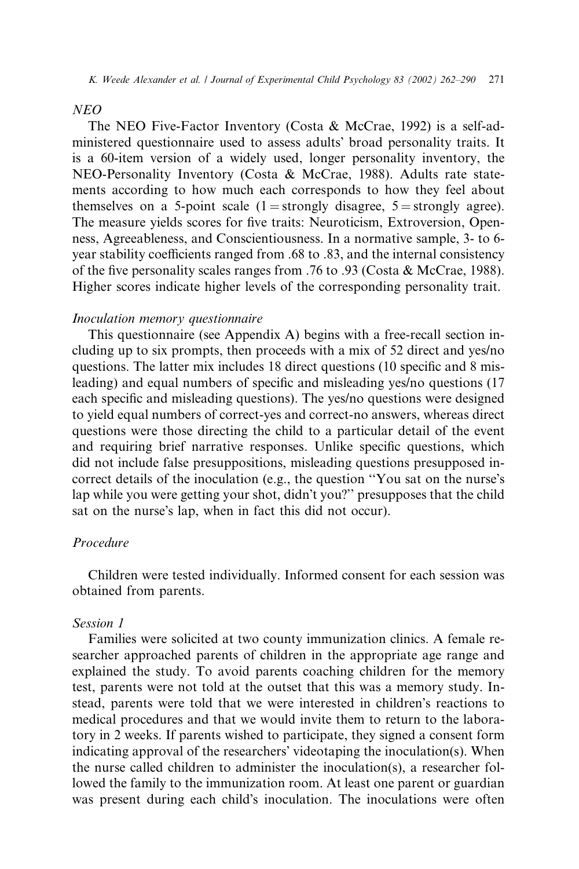K. Weede Alexander et al. / Journal of Experimental Child Psychology 83 (2002) 262–290 271

# NEO

The NEO Five-Factor Inventory (Costa & McCrae, 1992) is a self-administered questionnaire used to assess adults' broad personality traits. It is a 60-item version of a widely used, longer personality inventory, the NEO-Personality Inventory (Costa & McCrae, 1988). Adults rate statements according to how much each corresponds to how they feel about themselves on a 5-point scale  $(1 =$ strongly disagree,  $5 =$ strongly agree). The measure yields scores for five traits: Neuroticism, Extroversion, Openness, Agreeableness, and Conscientiousness. In a normative sample, 3- to 6 year stability coefficients ranged from .68 to .83, and the internal consistency of the five personality scales ranges from .76 to .93 (Costa & McCrae, 1988). Higher scores indicate higher levels of the corresponding personality trait.

#### Inoculation memory questionnaire

This questionnaire (see Appendix A) begins with a free-recall section including up to six prompts, then proceeds with a mix of 52 direct and yes/no questions. The latter mix includes 18 direct questions (10 specific and 8 misleading) and equal numbers of specific and misleading yes/no questions (17 each specific and misleading questions). The yes/no questions were designed to yield equal numbers of correct-yes and correct-no answers, whereas direct questions were those directing the child to a particular detail of the event and requiring brief narrative responses. Unlike specific questions, which did not include false presuppositions, misleading questions presupposed incorrect details of the inoculation (e.g., the question "You sat on the nurse's lap while you were getting your shot, didn't you?" presupposes that the child sat on the nurse's lap, when in fact this did not occur).

# Procedure

Children were tested individually. Informed consent for each session was obtained from parents.

## Session 1

Families were solicited at two county immunization clinics. A female researcher approached parents of children in the appropriate age range and explained the study. To avoid parents coaching children for the memory test, parents were not told at the outset that this was a memory study. Instead, parents were told that we were interested in children's reactions to medical procedures and that we would invite them to return to the laboratory in 2 weeks. If parents wished to participate, they signed a consent form indicating approval of the researchers' videotaping the inoculation(s). When the nurse called children to administer the inoculation(s), a researcher followed the family to the immunization room. At least one parent or guardian was present during each child's inoculation. The inoculations were often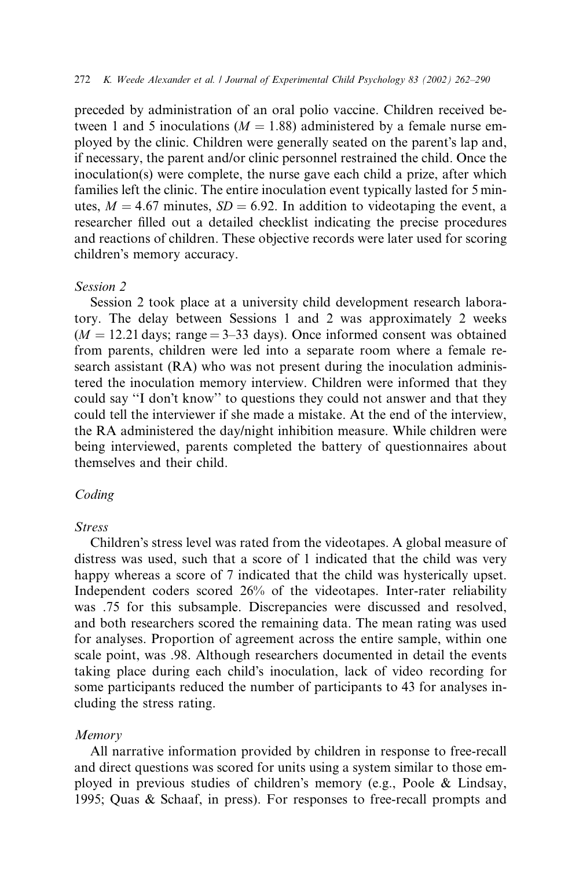preceded by administration of an oral polio vaccine. Children received between 1 and 5 inoculations ( $M = 1.88$ ) administered by a female nurse employed by the clinic. Children were generally seated on the parent's lap and, if necessary, the parent and/or clinic personnel restrained the child. Once the inoculation(s) were complete, the nurse gave each child a prize, after which families left the clinic. The entire inoculation event typically lasted for 5 minutes,  $M = 4.67$  minutes,  $SD = 6.92$ . In addition to videotaping the event, a researcher filled out a detailed checklist indicating the precise procedures and reactions of children. These objective records were later used for scoring children's memory accuracy.

## Session 2

Session 2 took place at a university child development research laboratory. The delay between Sessions 1 and 2 was approximately 2 weeks  $(M = 12.21 \text{ days}; \text{ range} = 3-33 \text{ days}).$  Once informed consent was obtained from parents, children were led into a separate room where a female research assistant (RA) who was not present during the inoculation administered the inoculation memory interview. Children were informed that they could say "I don't know" to questions they could not answer and that they could tell the interviewer if she made a mistake. At the end of the interview, the RA administered the day/night inhibition measure. While children were being interviewed, parents completed the battery of questionnaires about themselves and their child.

## Coding

## Stress

Children's stress level was rated from the videotapes. A global measure of distress was used, such that a score of 1 indicated that the child was very happy whereas a score of 7 indicated that the child was hysterically upset. Independent coders scored 26% of the videotapes. Inter-rater reliability was .75 for this subsample. Discrepancies were discussed and resolved, and both researchers scored the remaining data. The mean rating was used for analyses. Proportion of agreement across the entire sample, within one scale point, was .98. Although researchers documented in detail the events taking place during each child's inoculation, lack of video recording for some participants reduced the number of participants to 43 for analyses including the stress rating.

# Memory

All narrative information provided by children in response to free-recall and direct questions was scored for units using a system similar to those employed in previous studies of children's memory (e.g., Poole & Lindsay, 1995; Quas & Schaaf, in press). For responses to free-recall prompts and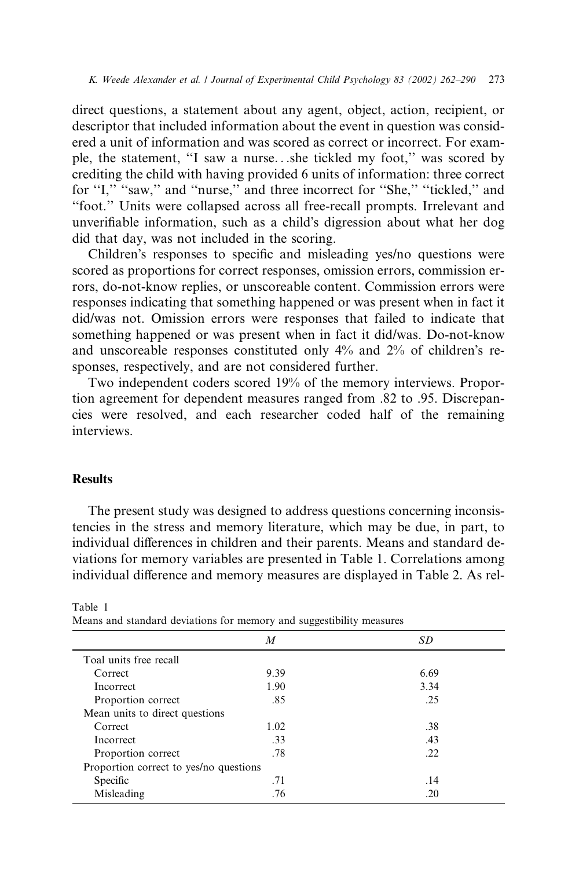direct questions, a statement about any agent, object, action, recipient, or descriptor that included information about the event in question was considered a unit of information and was scored as correct or incorrect. For example, the statement, ''I saw a nurse...she tickled my foot,'' was scored by crediting the child with having provided 6 units of information: three correct for "I," "saw," and "nurse," and three incorrect for "She," "tickled," and ''foot.'' Units were collapsed across all free-recall prompts. Irrelevant and unverifiable information, such as a child's digression about what her dog did that day, was not included in the scoring.

Children's responses to specific and misleading yes/no questions were scored as proportions for correct responses, omission errors, commission errors, do-not-know replies, or unscoreable content. Commission errors were responses indicating that something happened or was present when in fact it did/was not. Omission errors were responses that failed to indicate that something happened or was present when in fact it did/was. Do-not-know and unscoreable responses constituted only  $4\%$  and  $2\%$  of children's responses, respectively, and are not considered further.

Two independent coders scored 19% of the memory interviews. Proportion agreement for dependent measures ranged from .82 to .95. Discrepancies were resolved, and each researcher coded half of the remaining interviews.

# Results

The present study was designed to address questions concerning inconsistencies in the stress and memory literature, which may be due, in part, to individual differences in children and their parents. Means and standard deviations for memory variables are presented in Table 1. Correlations among individual difference and memory measures are displayed in Table 2. As rel-

|                                        | M    | SD   |  |
|----------------------------------------|------|------|--|
| Toal units free recall                 |      |      |  |
| Correct                                | 9.39 | 6.69 |  |
| <b>Incorrect</b>                       | 1.90 | 3.34 |  |
| Proportion correct                     | .85  | .25  |  |
| Mean units to direct questions         |      |      |  |
| Correct                                | 1.02 | .38  |  |
| <b>Incorrect</b>                       | .33  | .43  |  |
| Proportion correct                     | .78  | .22  |  |
| Proportion correct to yes/no questions |      |      |  |
| Specific                               | .71  | .14  |  |
| Misleading                             | .76  | .20  |  |

Table 1

Means and standard deviations for memory and suggestibility measures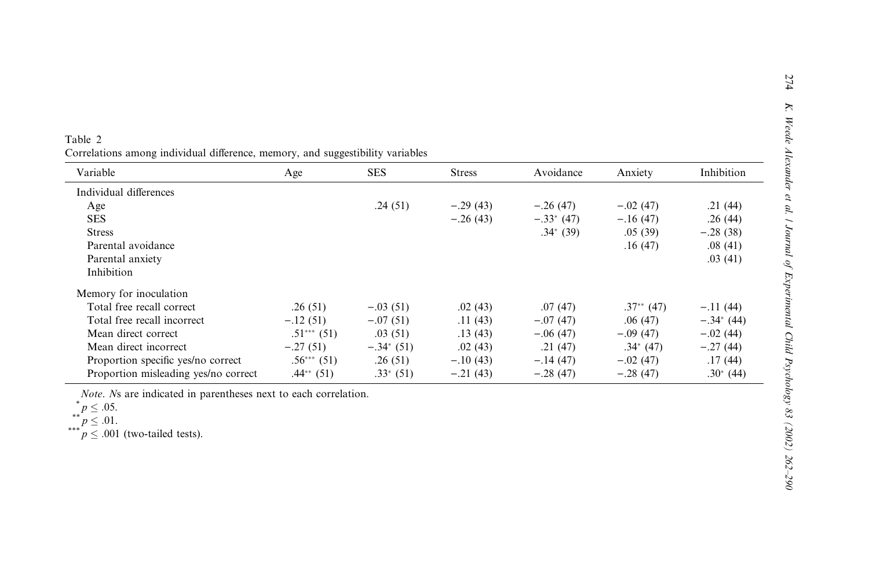| Variable                             | Age           | <b>SES</b>    | <b>Stress</b> | Avoidance     | Anxiety         | Inhibition    |
|--------------------------------------|---------------|---------------|---------------|---------------|-----------------|---------------|
| Individual differences               |               |               |               |               |                 |               |
| Age                                  |               | .24(51)       | $-.29(43)$    | $-.26(47)$    | $-.02(47)$      | .21(44)       |
| <b>SES</b>                           |               |               | $-.26(43)$    | $-.33^*$ (47) | $-.16(47)$      | .26(44)       |
| <b>Stress</b>                        |               |               |               | $.34^*$ (39)  | .05(39)         | $-.28(38)$    |
| Parental avoidance                   |               |               |               |               | .16(47)         | .08(41)       |
| Parental anxiety                     |               |               |               |               |                 | .03(41)       |
| Inhibition                           |               |               |               |               |                 |               |
| Memory for inoculation               |               |               |               |               |                 |               |
| Total free recall correct            | .26(51)       | $-.03(51)$    | .02(43)       | .07(47)       | $.37^{**}$ (47) | $-.11(44)$    |
| Total free recall incorrect          | $-.12(51)$    | $-.07(51)$    | .11(43)       | $-.07(47)$    | .06(47)         | $-.34^*$ (44) |
| Mean direct correct                  | $.51***$ (51) | .03(51)       | .13(43)       | $-.06(47)$    | $-.09(47)$      | $-.02(44)$    |
| Mean direct incorrect                | $-.27(51)$    | $-.34^*$ (51) | .02(43)       | .21(47)       | $.34^*$ (47)    | $-.27(44)$    |
| Proportion specific yes/no correct   | $.56***(51)$  | .26(51)       | $-.10(43)$    | $-.14(47)$    | $-.02(47)$      | .17(44)       |
| Proportion misleading yes/no correct | $.44**$ (51)  | $.33^*$ (51)  | $-.21(43)$    | $-.28(47)$    | $-.28(47)$      | $.30^*$ (44)  |

Table 2Correlations among individual difference, memory, and suggestibility variables

*Note. N*s are indicated in parentheses next to each correlation.<br>
" $p \leq .05$ .

$$
p \leq .05.
$$

 $x^{**}$   $p \leq .01$ .<br>\*\*\*  $p \leq .001$  (two-tailed tests).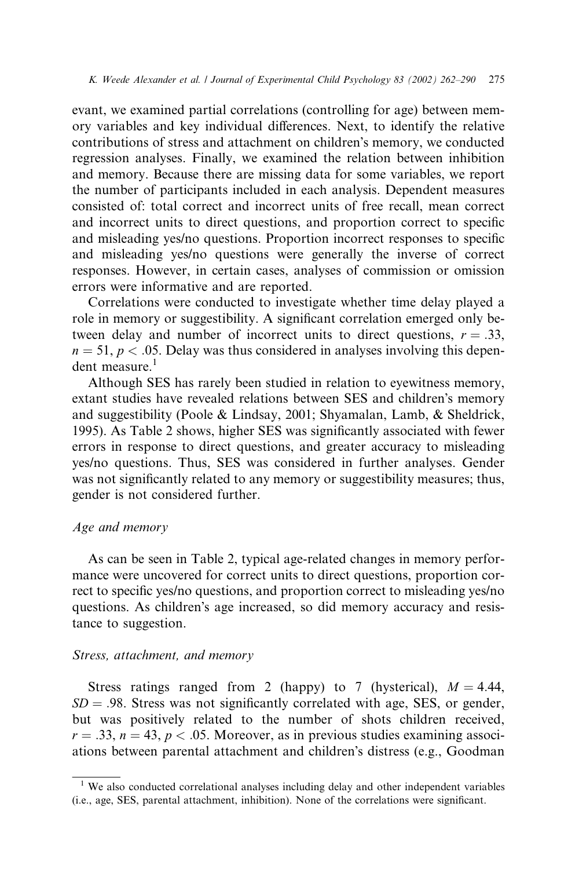evant, we examined partial correlations (controlling for age) between memory variables and key individual differences. Next, to identify the relative contributions of stress and attachment on children's memory, we conducted regression analyses. Finally, we examined the relation between inhibition and memory. Because there are missing data for some variables, we report the number of participants included in each analysis. Dependent measures consisted of: total correct and incorrect units of free recall, mean correct and incorrect units to direct questions, and proportion correct to specific and misleading yes/no questions. Proportion incorrect responses to specific and misleading yes/no questions were generally the inverse of correct responses. However, in certain cases, analyses of commission or omission errors were informative and are reported.

Correlations were conducted to investigate whether time delay played a role in memory or suggestibility. A significant correlation emerged only between delay and number of incorrect units to direct questions,  $r = .33$ ,  $n = 51$ ,  $p < .05$ . Delay was thus considered in analyses involving this dependent measure.<sup>1</sup>

Although SES has rarely been studied in relation to eyewitness memory, extant studies have revealed relations between SES and children's memory and suggestibility (Poole & Lindsay, 2001; Shyamalan, Lamb, & Sheldrick, 1995). As Table 2 shows, higher SES was significantly associated with fewer errors in response to direct questions, and greater accuracy to misleading yes/no questions. Thus, SES was considered in further analyses. Gender was not significantly related to any memory or suggestibility measures; thus, gender is not considered further.

#### Age and memory

As can be seen in Table 2, typical age-related changes in memory performance were uncovered for correct units to direct questions, proportion correct to specific yes/no questions, and proportion correct to misleading yes/no questions. As children's age increased, so did memory accuracy and resistance to suggestion.

# Stress, attachment, and memory

Stress ratings ranged from 2 (happy) to 7 (hysterical),  $M = 4.44$ ,  $SD = .98$ . Stress was not significantly correlated with age, SES, or gender, but was positively related to the number of shots children received,  $r = .33$ ,  $n = 43$ ,  $p < .05$ . Moreover, as in previous studies examining associations between parental attachment and children's distress (e.g., Goodman

 $1$  We also conducted correlational analyses including delay and other independent variables (i.e., age, SES, parental attachment, inhibition). None of the correlations were significant.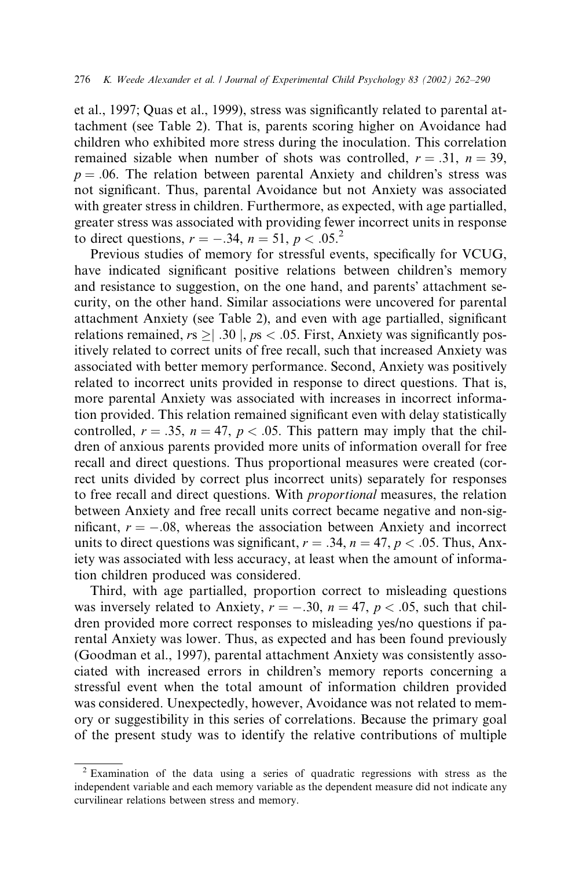et al., 1997; Quas et al., 1999), stress was significantly related to parental attachment (see Table 2). That is, parents scoring higher on Avoidance had children who exhibited more stress during the inoculation. This correlation remained sizable when number of shots was controlled,  $r = .31$ ,  $n = 39$ ,  $p = 0.06$ . The relation between parental Anxiety and children's stress was not significant. Thus, parental Avoidance but not Anxiety was associated with greater stress in children. Furthermore, as expected, with age partialled, greater stress was associated with providing fewer incorrect units in response to direct questions,  $r = -.34$ ,  $n = 51$ ,  $p < .05<sup>2</sup>$ 

Previous studies of memory for stressful events, specifically for VCUG, have indicated significant positive relations between children's memory and resistance to suggestion, on the one hand, and parents' attachment security, on the other hand. Similar associations were uncovered for parental attachment Anxiety (see Table 2), and even with age partialled, significant relations remained,  $rs > |$  :30  $|$ ,  $ps < .05$ . First, Anxiety was significantly positively related to correct units of free recall, such that increased Anxiety was associated with better memory performance. Second, Anxiety was positively related to incorrect units provided in response to direct questions. That is, more parental Anxiety was associated with increases in incorrect information provided. This relation remained significant even with delay statistically controlled,  $r = .35$ ,  $n = 47$ ,  $p < .05$ . This pattern may imply that the children of anxious parents provided more units of information overall for free recall and direct questions. Thus proportional measures were created (correct units divided by correct plus incorrect units) separately for responses to free recall and direct questions. With proportional measures, the relation between Anxiety and free recall units correct became negative and non-significant,  $r = -0.08$ , whereas the association between Anxiety and incorrect units to direct questions was significant,  $r = .34$ ,  $n = 47$ ,  $p < .05$ . Thus, Anxiety was associated with less accuracy, at least when the amount of information children produced was considered.

Third, with age partialled, proportion correct to misleading questions was inversely related to Anxiety,  $r = -.30$ ,  $n = 47$ ,  $p < .05$ , such that children provided more correct responses to misleading yes/no questions if parental Anxiety was lower. Thus, as expected and has been found previously (Goodman et al., 1997), parental attachment Anxiety was consistently associated with increased errors in children's memory reports concerning a stressful event when the total amount of information children provided was considered. Unexpectedly, however, Avoidance was not related to memory or suggestibility in this series of correlations. Because the primary goal of the present study was to identify the relative contributions of multiple

<sup>2</sup> Examination of the data using a series of quadratic regressions with stress as the independent variable and each memory variable as the dependent measure did not indicate any curvilinear relations between stress and memory.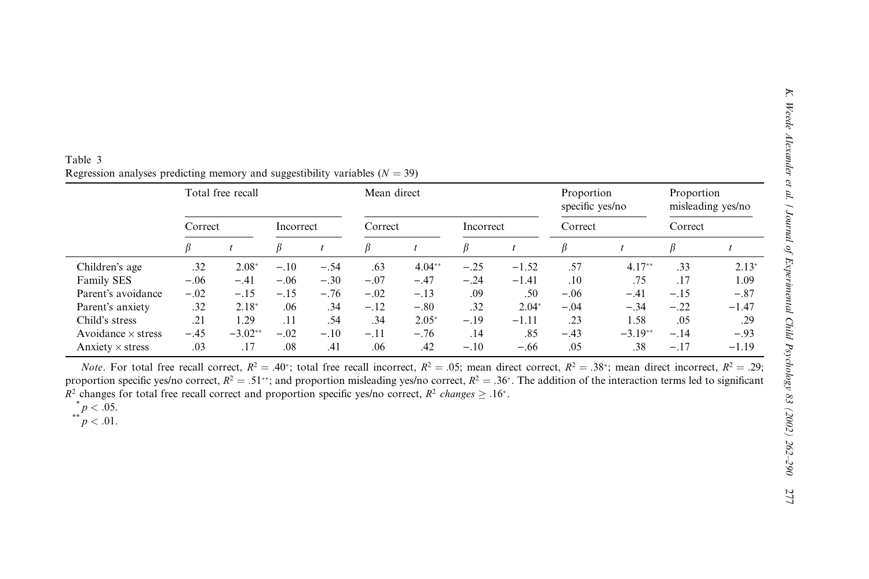| $\overline{\phantom{a}}$<br>$\overline{\phantom{a}}$<br>$\overline{\phantom{a}}$<br>$\overline{\phantom{a}}$<br>$\overline{\phantom{a}}$<br>$\overline{\phantom{a}}$<br>$\overline{\phantom{a}}$<br>$\overline{\phantom{a}}$<br>$\overline{\phantom{a}}$<br>$\overline{\phantom{a}}$<br>$\overline{\phantom{a}}$<br><br>$\overline{\phantom{a}}$<br><br><br><br><br><br><br><br><br><br><br><br><br><br><br><br><br><br><br><br><br><br><br><br><br> |  |  |
|------------------------------------------------------------------------------------------------------------------------------------------------------------------------------------------------------------------------------------------------------------------------------------------------------------------------------------------------------------------------------------------------------------------------------------------------------|--|--|
|                                                                                                                                                                                                                                                                                                                                                                                                                                                      |  |  |
|                                                                                                                                                                                                                                                                                                                                                                                                                                                      |  |  |
|                                                                                                                                                                                                                                                                                                                                                                                                                                                      |  |  |
|                                                                                                                                                                                                                                                                                                                                                                                                                                                      |  |  |
|                                                                                                                                                                                                                                                                                                                                                                                                                                                      |  |  |
|                                                                                                                                                                                                                                                                                                                                                                                                                                                      |  |  |
|                                                                                                                                                                                                                                                                                                                                                                                                                                                      |  |  |
|                                                                                                                                                                                                                                                                                                                                                                                                                                                      |  |  |
|                                                                                                                                                                                                                                                                                                                                                                                                                                                      |  |  |
|                                                                                                                                                                                                                                                                                                                                                                                                                                                      |  |  |
|                                                                                                                                                                                                                                                                                                                                                                                                                                                      |  |  |
|                                                                                                                                                                                                                                                                                                                                                                                                                                                      |  |  |

|                           | Total free recall |           |           | Mean direct |         |          |           | Proportion<br>specific yes/no |         | Proportion<br>misleading yes/no |         |         |
|---------------------------|-------------------|-----------|-----------|-------------|---------|----------|-----------|-------------------------------|---------|---------------------------------|---------|---------|
|                           | Correct           |           | Incorrect |             | Correct |          | Incorrect |                               | Correct |                                 | Correct |         |
|                           |                   |           | ß         |             | ß       |          |           |                               | ß       |                                 |         |         |
| Children's age            | .32               | $2.08*$   | $-.10$    | $-.54$      | .63     | $4.04**$ | $-.25$    | $-1.52$                       | .57     | $4.17**$                        | .33     | $2.13*$ |
| Family SES                | $-.06$            | $-.41$    | $-.06$    | $-.30$      | $-.07$  | $-.47$   | $-.24$    | $-1.41$                       | .10     | .75                             | .17     | 1.09    |
| Parent's avoidance        | $-.02$            | $-.15$    | $-.15$    | $-.76$      | $-.02$  | $-.13$   | .09       | .50                           | $-.06$  | $-.41$                          | $-.15$  | $-.87$  |
| Parent's anxiety          | .32               | $2.18*$   | .06       | .34         | $-.12$  | $-.80$   | .32       | $2.04*$                       | $-.04$  | $-.34$                          | $-.22$  | $-1.47$ |
| Child's stress            | .21               | 1.29      | .11       | .54         | .34     | $2.05*$  | $-.19$    | $-1.11$                       | .23     | 1.58                            | .05     | .29     |
| Avoidance $\times$ stress | $-.45$            | $-3.02**$ | $-.02$    | $-.10$      | $-.11$  | $-.76$   | .14       | .85                           | $-.43$  | $-3.19**$                       | $-.14$  | $-.93$  |
| Anxiety $\times$ stress   | .03               | .17       | .08       | .41         | .06     | .42      | $-.10$    | $-.66$                        | .05     | .38                             | $-.17$  | $-1.19$ |

# Table 3Regression analyses predicting memory and suggestibility variables ( $N = 39$ )

*Note.* For total free recall correct,  $R^2 = .40^*$ ; total free recall incorrect,  $R^2 = .05$ ; mean direct correct,  $R^2 = .38^*$ ; mean direct incorrect,  $R^2 = .29$ ; proportion specific yes/no correct,  $R^2 = .51^{**}$ ; and proportion misleading yes/no correct,  $R^2 = .36^*$ . The addition of the interaction terms led to significant  $R^2$  changes for total free recall correct and proportion specific yes/no correct,  $R^2$  changes  $\geq .16^*$ .<br>
\*\*p < .05.<br>
\*\*p < .01.

 $\boldsymbol{\times}$ 

277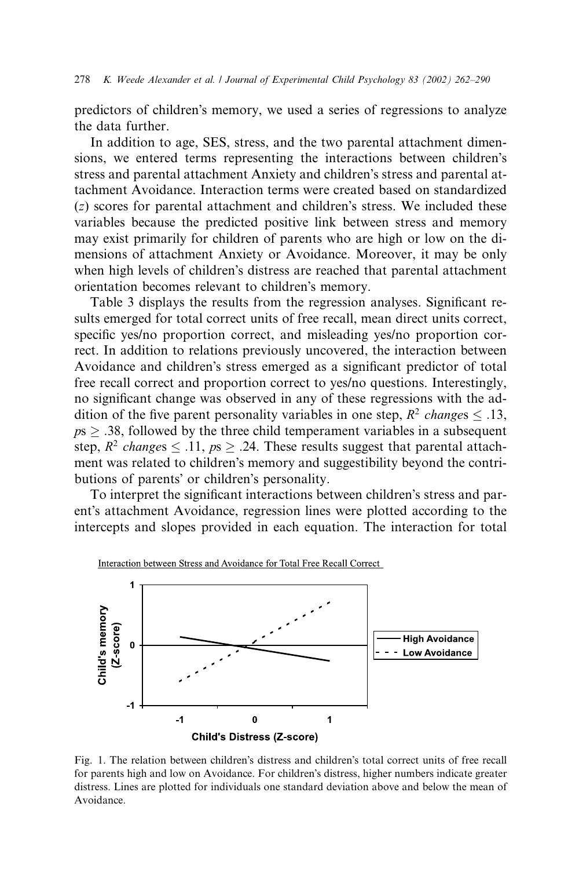predictors of children's memory, we used a series of regressions to analyze the data further.

In addition to age, SES, stress, and the two parental attachment dimensions, we entered terms representing the interactions between children's stress and parental attachment Anxiety and children's stress and parental attachment Avoidance. Interaction terms were created based on standardized  $(z)$  scores for parental attachment and children's stress. We included these variables because the predicted positive link between stress and memory may exist primarily for children of parents who are high or low on the dimensions of attachment Anxiety or Avoidance. Moreover, it may be only when high levels of children's distress are reached that parental attachment orientation becomes relevant to children's memory.

Table 3 displays the results from the regression analyses. Significant results emerged for total correct units of free recall, mean direct units correct, specific yes/no proportion correct, and misleading yes/no proportion correct. In addition to relations previously uncovered, the interaction between Avoidance and children's stress emerged as a significant predictor of total free recall correct and proportion correct to yes/no questions. Interestingly, no significant change was observed in any of these regressions with the addition of the five parent personality variables in one step,  $R^2$  changes  $\leq$  13,  $ps \geq 0.38$ , followed by the three child temperament variables in a subsequent step,  $R^2$  changes  $\leq$  .11,  $ps \geq 0.24$ . These results suggest that parental attachment was related to children's memory and suggestibility beyond the contributions of parents' or children's personality.

To interpret the significant interactions between children's stress and parent's attachment Avoidance, regression lines were plotted according to the intercepts and slopes provided in each equation. The interaction for total



Fig. 1. The relation between children's distress and children's total correct units of free recall for parents high and low on Avoidance. For children's distress, higher numbers indicate greater distress. Lines are plotted for individuals one standard deviation above and below the mean of Avoidance.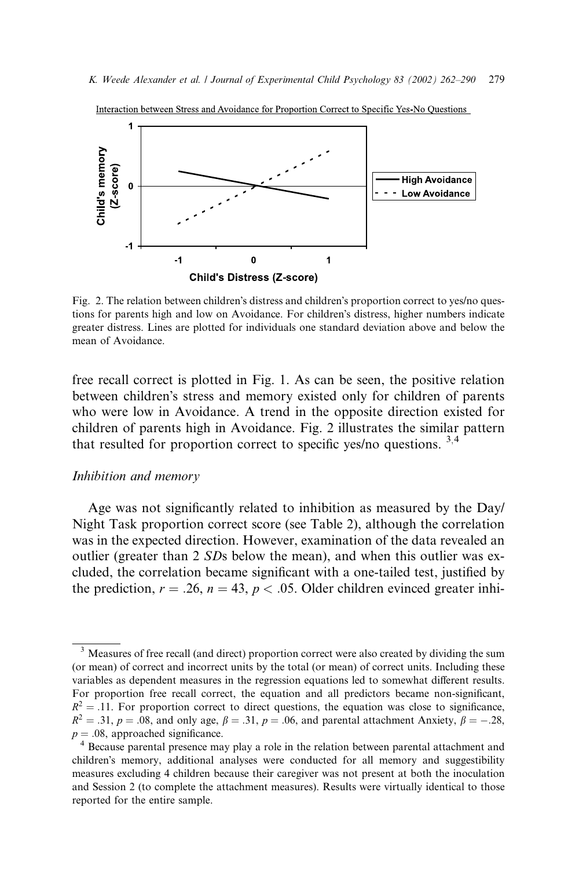

Interaction between Stress and Avoidance for Proportion Correct to Specific Yes-No Questions

Fig. 2. The relation between children's distress and children's proportion correct to yes/no questions for parents high and low on Avoidance. For children's distress, higher numbers indicate greater distress. Lines are plotted for individuals one standard deviation above and below the mean of Avoidance.

free recall correct is plotted in Fig. 1. As can be seen, the positive relation between children's stress and memory existed only for children of parents who were low in Avoidance. A trend in the opposite direction existed for children of parents high in Avoidance. Fig. 2 illustrates the similar pattern that resulted for proportion correct to specific yes/no questions.  $3,4$ 

# Inhibition and memory

Age was not significantly related to inhibition as measured by the Day/ Night Task proportion correct score (see Table 2), although the correlation was in the expected direction. However, examination of the data revealed an outlier (greater than 2 SDs below the mean), and when this outlier was excluded, the correlation became significant with a one-tailed test, justified by the prediction,  $r = .26$ ,  $n = 43$ ,  $p < .05$ . Older children evinced greater inhi-

<sup>&</sup>lt;sup>3</sup> Measures of free recall (and direct) proportion correct were also created by dividing the sum (or mean) of correct and incorrect units by the total (or mean) of correct units. Including these variables as dependent measures in the regression equations led to somewhat different results. For proportion free recall correct, the equation and all predictors became non-significant,  $R<sup>2</sup> = .11$ . For proportion correct to direct questions, the equation was close to significance,  $R^2 = .31$ ,  $p = .08$ , and only age,  $\beta = .31$ ,  $p = .06$ , and parental attachment Anxiety,  $\beta = -.28$ ,  $p = .08$ , approached significance.<br><sup>4</sup> Because parental presence may play a role in the relation between parental attachment and

children's memory, additional analyses were conducted for all memory and suggestibility measures excluding 4 children because their caregiver was not present at both the inoculation and Session 2 (to complete the attachment measures). Results were virtually identical to those reported for the entire sample.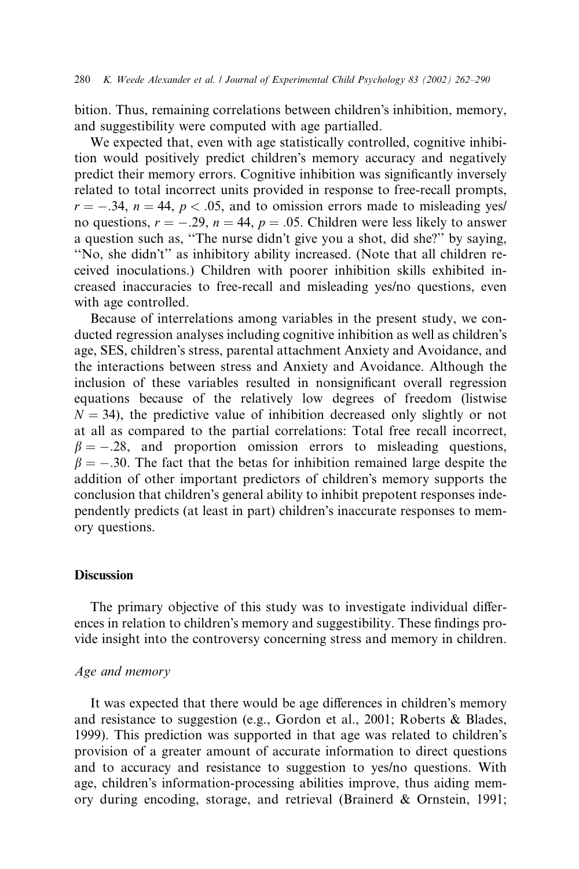bition. Thus, remaining correlations between children's inhibition, memory, and suggestibility were computed with age partialled.

We expected that, even with age statistically controlled, cognitive inhibition would positively predict children's memory accuracy and negatively predict their memory errors. Cognitive inhibition was significantly inversely related to total incorrect units provided in response to free-recall prompts,  $r = -.34$ ,  $n = 44$ ,  $p < .05$ , and to omission errors made to misleading yes/ no questions,  $r = -.29$ ,  $n = 44$ ,  $p = .05$ . Children were less likely to answer a question such as, "The nurse didn't give you a shot, did she?" by saying, "No, she didn't" as inhibitory ability increased. (Note that all children received inoculations.) Children with poorer inhibition skills exhibited increased inaccuracies to free-recall and misleading yes/no questions, even with age controlled.

Because of interrelations among variables in the present study, we conducted regression analyses including cognitive inhibition as well as children's age, SES, children's stress, parental attachment Anxiety and Avoidance, and the interactions between stress and Anxiety and Avoidance. Although the inclusion of these variables resulted in nonsignificant overall regression equations because of the relatively low degrees of freedom (listwise  $N = 34$ ), the predictive value of inhibition decreased only slightly or not at all as compared to the partial correlations: Total free recall incorrect,  $\beta = -.28$ , and proportion omission errors to misleading questions,  $\beta = -.30$ . The fact that the betas for inhibition remained large despite the addition of other important predictors of children's memory supports the conclusion that children's general ability to inhibit prepotent responses independently predicts (at least in part) children's inaccurate responses to memory questions.

# **Discussion**

The primary objective of this study was to investigate individual differences in relation to children's memory and suggestibility. These findings provide insight into the controversy concerning stress and memory in children.

#### Age and memory

It was expected that there would be age differences in children's memory and resistance to suggestion (e.g., Gordon et al., 2001; Roberts & Blades, 1999). This prediction was supported in that age was related to children's provision of a greater amount of accurate information to direct questions and to accuracy and resistance to suggestion to yes/no questions. With age, children's information-processing abilities improve, thus aiding memory during encoding, storage, and retrieval (Brainerd & Ornstein, 1991;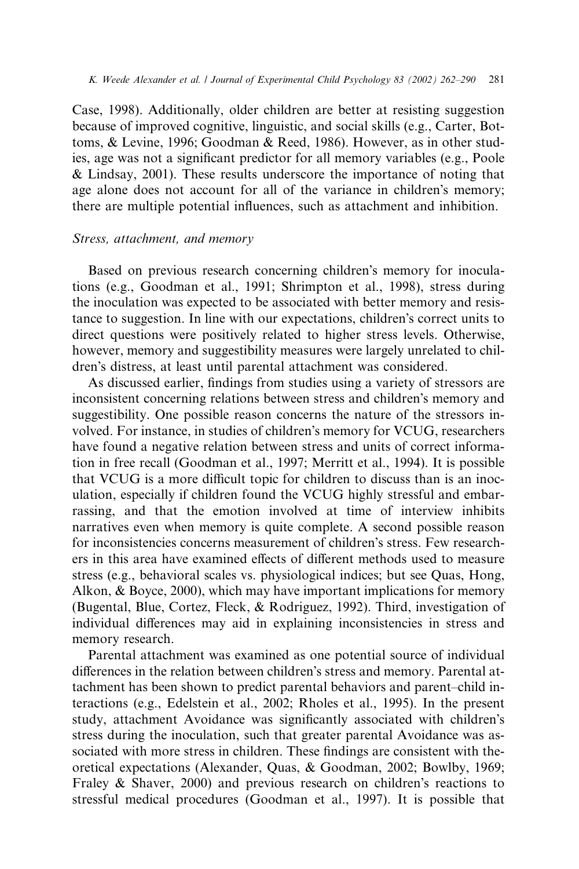Case, 1998). Additionally, older children are better at resisting suggestion because of improved cognitive, linguistic, and social skills (e.g., Carter, Bottoms, & Levine, 1996; Goodman & Reed, 1986). However, as in other studies, age was not a significant predictor for all memory variables (e.g., Poole & Lindsay, 2001). These results underscore the importance of noting that age alone does not account for all of the variance in children's memory; there are multiple potential influences, such as attachment and inhibition.

## Stress, attachment, and memory

Based on previous research concerning children's memory for inoculations (e.g., Goodman et al., 1991; Shrimpton et al., 1998), stress during the inoculation was expected to be associated with better memory and resistance to suggestion. In line with our expectations, children's correct units to direct questions were positively related to higher stress levels. Otherwise, however, memory and suggestibility measures were largely unrelated to children's distress, at least until parental attachment was considered.

As discussed earlier, findings from studies using a variety of stressors are inconsistent concerning relations between stress and children's memory and suggestibility. One possible reason concerns the nature of the stressors involved. For instance, in studies of children's memory for VCUG, researchers have found a negative relation between stress and units of correct information in free recall (Goodman et al., 1997; Merritt et al., 1994). It is possible that VCUG is a more difficult topic for children to discuss than is an inoculation, especially if children found the VCUG highly stressful and embarrassing, and that the emotion involved at time of interview inhibits narratives even when memory is quite complete. A second possible reason for inconsistencies concerns measurement of children's stress. Few researchers in this area have examined effects of different methods used to measure stress (e.g., behavioral scales vs. physiological indices; but see Quas, Hong, Alkon, & Boyce, 2000), which may have important implications for memory (Bugental, Blue, Cortez, Fleck, & Rodriguez, 1992). Third, investigation of individual differences may aid in explaining inconsistencies in stress and memory research.

Parental attachment was examined as one potential source of individual differences in the relation between children's stress and memory. Parental attachment has been shown to predict parental behaviors and parent–child interactions (e.g., Edelstein et al., 2002; Rholes et al., 1995). In the present study, attachment Avoidance was significantly associated with children's stress during the inoculation, such that greater parental Avoidance was associated with more stress in children. These findings are consistent with theoretical expectations (Alexander, Quas, & Goodman, 2002; Bowlby, 1969; Fraley & Shaver, 2000) and previous research on children's reactions to stressful medical procedures (Goodman et al., 1997). It is possible that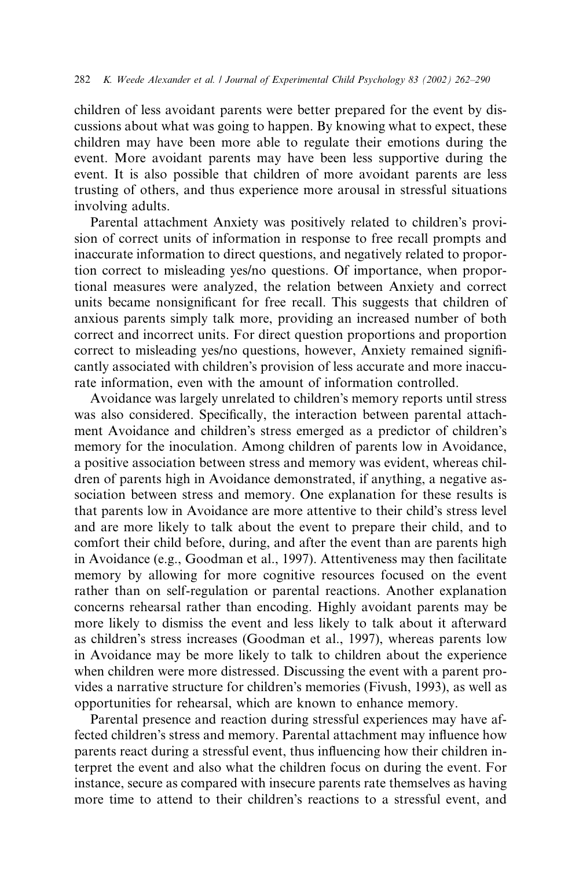children of less avoidant parents were better prepared for the event by discussions about what was going to happen. By knowing what to expect, these children may have been more able to regulate their emotions during the event. More avoidant parents may have been less supportive during the event. It is also possible that children of more avoidant parents are less trusting of others, and thus experience more arousal in stressful situations involving adults.

Parental attachment Anxiety was positively related to children's provision of correct units of information in response to free recall prompts and inaccurate information to direct questions, and negatively related to proportion correct to misleading yes/no questions. Of importance, when proportional measures were analyzed, the relation between Anxiety and correct units became nonsignificant for free recall. This suggests that children of anxious parents simply talk more, providing an increased number of both correct and incorrect units. For direct question proportions and proportion correct to misleading yes/no questions, however, Anxiety remained significantly associated with children's provision of less accurate and more inaccurate information, even with the amount of information controlled.

Avoidance was largely unrelated to children's memory reports until stress was also considered. Specifically, the interaction between parental attachment Avoidance and children's stress emerged as a predictor of children's memory for the inoculation. Among children of parents low in Avoidance, a positive association between stress and memory was evident, whereas children of parents high in Avoidance demonstrated, if anything, a negative association between stress and memory. One explanation for these results is that parents low in Avoidance are more attentive to their child's stress level and are more likely to talk about the event to prepare their child, and to comfort their child before, during, and after the event than are parents high in Avoidance (e.g., Goodman et al., 1997). Attentiveness may then facilitate memory by allowing for more cognitive resources focused on the event rather than on self-regulation or parental reactions. Another explanation concerns rehearsal rather than encoding. Highly avoidant parents may be more likely to dismiss the event and less likely to talk about it afterward as children's stress increases (Goodman et al., 1997), whereas parents low in Avoidance may be more likely to talk to children about the experience when children were more distressed. Discussing the event with a parent provides a narrative structure for children's memories (Fivush, 1993), as well as opportunities for rehearsal, which are known to enhance memory.

Parental presence and reaction during stressful experiences may have affected children's stress and memory. Parental attachment may influence how parents react during a stressful event, thus influencing how their children interpret the event and also what the children focus on during the event. For instance, secure as compared with insecure parents rate themselves as having more time to attend to their children's reactions to a stressful event, and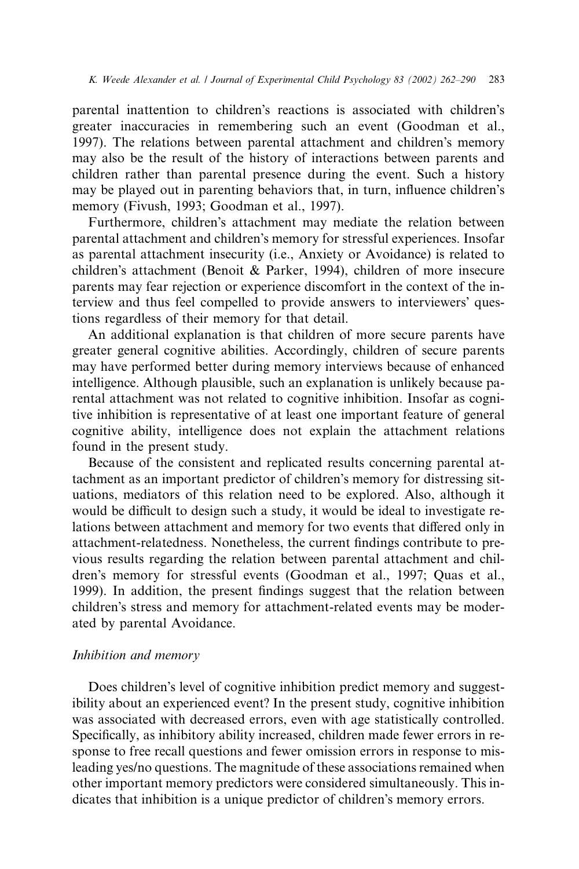parental inattention to children's reactions is associated with children's greater inaccuracies in remembering such an event (Goodman et al., 1997). The relations between parental attachment and children's memory may also be the result of the history of interactions between parents and children rather than parental presence during the event. Such a history may be played out in parenting behaviors that, in turn, influence children's memory (Fivush, 1993; Goodman et al., 1997).

Furthermore, children's attachment may mediate the relation between parental attachment and children's memory for stressful experiences. Insofar as parental attachment insecurity (i.e., Anxiety or Avoidance) is related to children's attachment (Benoit & Parker, 1994), children of more insecure parents may fear rejection or experience discomfort in the context of the interview and thus feel compelled to provide answers to interviewers questions regardless of their memory for that detail.

An additional explanation is that children of more secure parents have greater general cognitive abilities. Accordingly, children of secure parents may have performed better during memory interviews because of enhanced intelligence. Although plausible, such an explanation is unlikely because parental attachment was not related to cognitive inhibition. Insofar as cognitive inhibition is representative of at least one important feature of general cognitive ability, intelligence does not explain the attachment relations found in the present study.

Because of the consistent and replicated results concerning parental attachment as an important predictor of children's memory for distressing situations, mediators of this relation need to be explored. Also, although it would be difficult to design such a study, it would be ideal to investigate relations between attachment and memory for two events that differed only in attachment-relatedness. Nonetheless, the current findings contribute to previous results regarding the relation between parental attachment and children's memory for stressful events (Goodman et al., 1997; Quas et al., 1999). In addition, the present findings suggest that the relation between children's stress and memory for attachment-related events may be moderated by parental Avoidance.

## Inhibition and memory

Does children's level of cognitive inhibition predict memory and suggestibility about an experienced event? In the present study, cognitive inhibition was associated with decreased errors, even with age statistically controlled. Specifically, as inhibitory ability increased, children made fewer errors in response to free recall questions and fewer omission errors in response to misleading yes/no questions. The magnitude of these associations remained when other important memory predictors were considered simultaneously. This indicates that inhibition is a unique predictor of children's memory errors.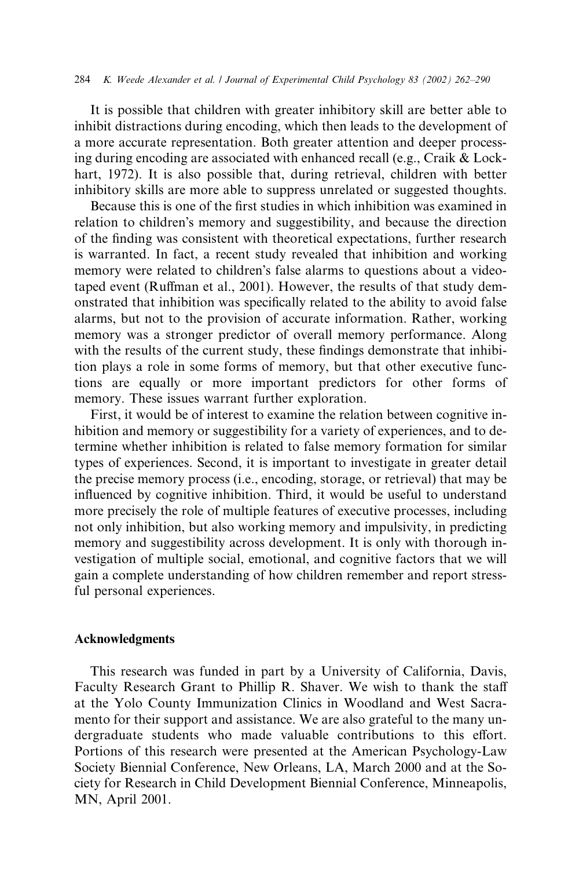284 K. Weede Alexander et al. / Journal of Experimental Child Psychology 83 (2002) 262–290

It is possible that children with greater inhibitory skill are better able to inhibit distractions during encoding, which then leads to the development of a more accurate representation. Both greater attention and deeper processing during encoding are associated with enhanced recall (e.g., Craik & Lockhart, 1972). It is also possible that, during retrieval, children with better inhibitory skills are more able to suppress unrelated or suggested thoughts.

Because this is one of the first studies in which inhibition was examined in relation to children's memory and suggestibility, and because the direction of the finding was consistent with theoretical expectations, further research is warranted. In fact, a recent study revealed that inhibition and working memory were related to children's false alarms to questions about a videotaped event (Ruffman et al., 2001). However, the results of that study demonstrated that inhibition was specifically related to the ability to avoid false alarms, but not to the provision of accurate information. Rather, working memory was a stronger predictor of overall memory performance. Along with the results of the current study, these findings demonstrate that inhibition plays a role in some forms of memory, but that other executive functions are equally or more important predictors for other forms of memory. These issues warrant further exploration.

First, it would be of interest to examine the relation between cognitive inhibition and memory or suggestibility for a variety of experiences, and to determine whether inhibition is related to false memory formation for similar types of experiences. Second, it is important to investigate in greater detail the precise memory process (i.e., encoding, storage, or retrieval) that may be influenced by cognitive inhibition. Third, it would be useful to understand more precisely the role of multiple features of executive processes, including not only inhibition, but also working memory and impulsivity, in predicting memory and suggestibility across development. It is only with thorough investigation of multiple social, emotional, and cognitive factors that we will gain a complete understanding of how children remember and report stressful personal experiences.

#### Acknowledgments

This research was funded in part by a University of California, Davis, Faculty Research Grant to Phillip R. Shaver. We wish to thank the staff at the Yolo County Immunization Clinics in Woodland and West Sacramento for their support and assistance. We are also grateful to the many undergraduate students who made valuable contributions to this effort. Portions of this research were presented at the American Psychology-Law Society Biennial Conference, New Orleans, LA, March 2000 and at the Society for Research in Child Development Biennial Conference, Minneapolis, MN, April 2001.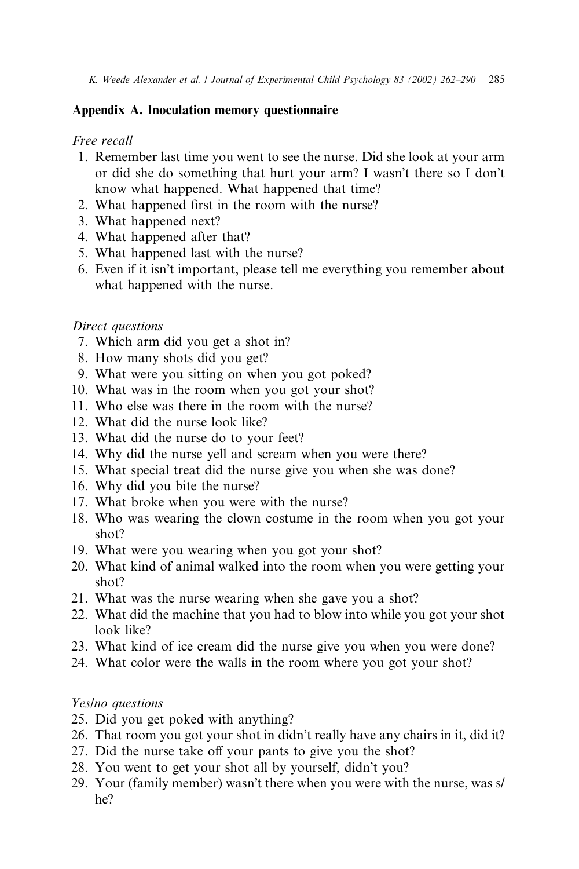# Appendix A. Inoculation memory questionnaire

# Free recall

- 1. Remember last time you went to see the nurse. Did she look at your arm or did she do something that hurt your arm? I wasn't there so I don't know what happened. What happened that time?
- 2. What happened first in the room with the nurse?
- 3. What happened next?
- 4. What happened after that?
- 5. What happened last with the nurse?
- 6. Even if it isn't important, please tell me everything you remember about what happened with the nurse.

# Direct questions

- 7. Which arm did you get a shot in?
- 8. How many shots did you get?
- 9. What were you sitting on when you got poked?
- 10. What was in the room when you got your shot?
- 11. Who else was there in the room with the nurse?
- 12. What did the nurse look like?
- 13. What did the nurse do to your feet?
- 14. Why did the nurse yell and scream when you were there?
- 15. What special treat did the nurse give you when she was done?
- 16. Why did you bite the nurse?
- 17. What broke when you were with the nurse?
- 18. Who was wearing the clown costume in the room when you got your shot?
- 19. What were you wearing when you got your shot?
- 20. What kind of animal walked into the room when you were getting your shot?
- 21. What was the nurse wearing when she gave you a shot?
- 22. What did the machine that you had to blow into while you got your shot look like?
- 23. What kind of ice cream did the nurse give you when you were done?
- 24. What color were the walls in the room where you got your shot?

# Yes/no questions

- 25. Did you get poked with anything?
- 26. That room you got your shot in didn't really have any chairs in it, did it?
- 27. Did the nurse take off your pants to give you the shot?
- 28. You went to get your shot all by yourself, didn't you?
- 29. Your (family member) wasn't there when you were with the nurse, was s/ he?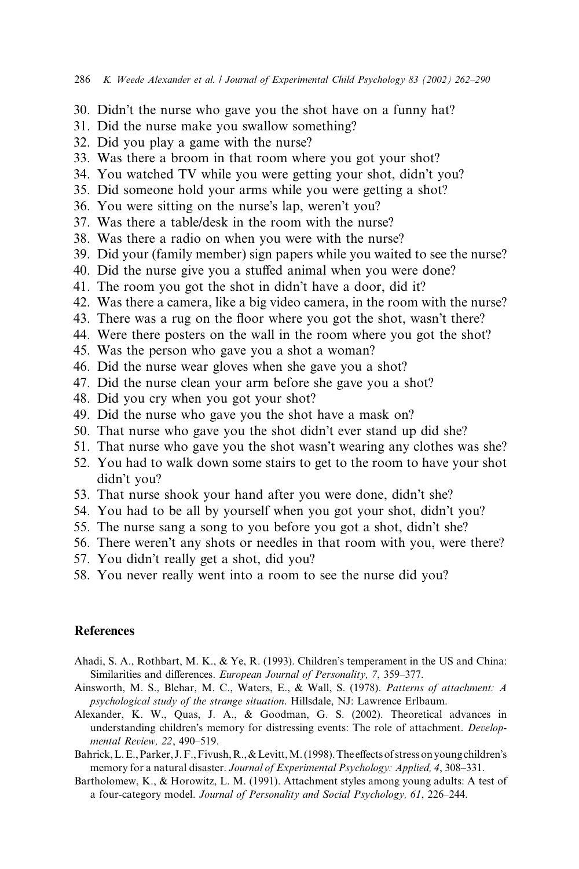- 30. Didn't the nurse who gave you the shot have on a funny hat?
- 31. Did the nurse make you swallow something?
- 32. Did you play a game with the nurse?
- 33. Was there a broom in that room where you got your shot?
- 34. You watched TV while you were getting your shot, didn't you?
- 35. Did someone hold your arms while you were getting a shot?
- 36. You were sitting on the nurse's lap, weren't you?
- 37. Was there a table/desk in the room with the nurse?
- 38. Was there a radio on when you were with the nurse?
- 39. Did your (family member) sign papers while you waited to see the nurse?
- 40. Did the nurse give you a stuffed animal when you were done?
- 41. The room you got the shot in didn't have a door, did it?
- 42. Was there a camera, like a big video camera, in the room with the nurse?
- 43. There was a rug on the floor where you got the shot, wasn't there?
- 44. Were there posters on the wall in the room where you got the shot?
- 45. Was the person who gave you a shot a woman?
- 46. Did the nurse wear gloves when she gave you a shot?
- 47. Did the nurse clean your arm before she gave you a shot?
- 48. Did you cry when you got your shot?
- 49. Did the nurse who gave you the shot have a mask on?
- 50. That nurse who gave you the shot didn't ever stand up did she?
- 51. That nurse who gave you the shot wasn't wearing any clothes was she?
- 52. You had to walk down some stairs to get to the room to have your shot didn't you?
- 53. That nurse shook your hand after you were done, didn't she?
- 54. You had to be all by yourself when you got your shot, didn't you?
- 55. The nurse sang a song to you before you got a shot, didn't she?
- 56. There werent any shots or needles in that room with you, were there?
- 57. You didn't really get a shot, did you?
- 58. You never really went into a room to see the nurse did you?

## References

- Ahadi, S. A., Rothbart, M. K., & Ye, R. (1993). Children's temperament in the US and China: Similarities and differences. European Journal of Personality, 7, 359–377.
- Ainsworth, M. S., Blehar, M. C., Waters, E., & Wall, S. (1978). Patterns of attachment: A psychological study of the strange situation. Hillsdale, NJ: Lawrence Erlbaum.
- Alexander, K. W., Quas, J. A., & Goodman, G. S. (2002). Theoretical advances in understanding children's memory for distressing events: The role of attachment. Developmental Review, 22, 490–519.
- Bahrick, L.E., Parker, J.F., Fivush, R., & Levitt, M. (1998). The effects of stress on young children's memory for a natural disaster. Journal of Experimental Psychology: Applied, 4, 308–331.
- Bartholomew, K., & Horowitz, L. M. (1991). Attachment styles among young adults: A test of a four-category model. Journal of Personality and Social Psychology, 61, 226-244.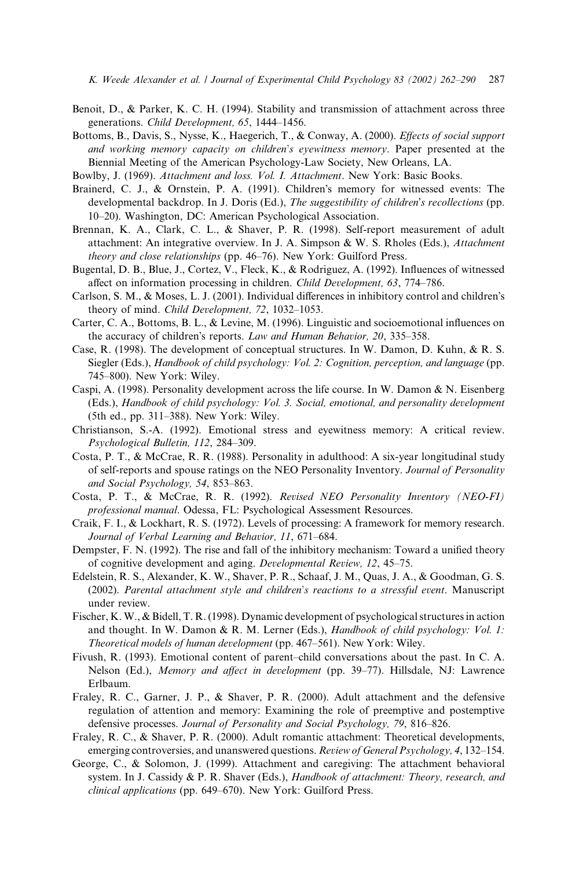- Benoit, D., & Parker, K. C. H. (1994). Stability and transmission of attachment across three generations. Child Development, 65, 1444–1456.
- Bottoms, B., Davis, S., Nysse, K., Haegerich, T., & Conway, A. (2000). *Effects of social support* and working memory capacity on children's eyewitness memory. Paper presented at the Biennial Meeting of the American Psychology-Law Society, New Orleans, LA.
- Bowlby, J. (1969). Attachment and loss. Vol. I. Attachment. New York: Basic Books.
- Brainerd, C. J., & Ornstein, P. A. (1991). Children's memory for witnessed events: The developmental backdrop. In J. Doris (Ed.), *The suggestibility of children's recollections* (pp. 10–20). Washington, DC: American Psychological Association.
- Brennan, K. A., Clark, C. L., & Shaver, P. R. (1998). Self-report measurement of adult attachment: An integrative overview. In J. A. Simpson & W. S. Rholes (Eds.), Attachment theory and close relationships (pp. 46–76). New York: Guilford Press.
- Bugental, D. B., Blue, J., Cortez, V., Fleck, K., & Rodriguez, A. (1992). Influences of witnessed affect on information processing in children. Child Development, 63, 774–786.
- Carlson, S. M., & Moses, L. J. (2001). Individual differences in inhibitory control and children's theory of mind. Child Development, 72, 1032–1053.
- Carter, C. A., Bottoms, B. L., & Levine, M. (1996). Linguistic and socioemotional influences on the accuracy of children's reports. Law and Human Behavior, 20, 335-358.
- Case, R. (1998). The development of conceptual structures. In W. Damon, D. Kuhn, & R. S. Siegler (Eds.), Handbook of child psychology: Vol. 2: Cognition, perception, and language (pp. 745–800). New York: Wiley.
- Caspi, A. (1998). Personality development across the life course. In W. Damon & N. Eisenberg (Eds.), Handbook of child psychology: Vol. 3. Social, emotional, and personality development (5th ed., pp. 311–388). New York: Wiley.
- Christianson, S.-A. (1992). Emotional stress and eyewitness memory: A critical review. Psychological Bulletin, 112, 284–309.
- Costa, P. T., & McCrae, R. R. (1988). Personality in adulthood: A six-year longitudinal study of self-reports and spouse ratings on the NEO Personality Inventory. Journal of Personality and Social Psychology, 54, 853–863.
- Costa, P. T., & McCrae, R. R. (1992). Revised NEO Personality Inventory (NEO-FI) professional manual. Odessa, FL: Psychological Assessment Resources.
- Craik, F. I., & Lockhart, R. S. (1972). Levels of processing: A framework for memory research. Journal of Verbal Learning and Behavior, 11, 671–684.
- Dempster, F. N. (1992). The rise and fall of the inhibitory mechanism: Toward a unified theory of cognitive development and aging. Developmental Review, 12, 45–75.
- Edelstein, R. S., Alexander, K. W., Shaver, P. R., Schaaf, J. M., Quas, J. A., & Goodman, G. S. (2002). Parental attachment style and children's reactions to a stressful event. Manuscript under review.
- Fischer, K. W., & Bidell, T. R. (1998). Dynamic development of psychological structures in action and thought. In W. Damon & R. M. Lerner (Eds.), Handbook of child psychology: Vol. 1: Theoretical models of human development (pp. 467–561). New York: Wiley.
- Fivush, R. (1993). Emotional content of parent–child conversations about the past. In C. A. Nelson (Ed.), Memory and affect in development (pp. 39–77). Hillsdale, NJ: Lawrence Erlbaum.
- Fraley, R. C., Garner, J. P., & Shaver, P. R. (2000). Adult attachment and the defensive regulation of attention and memory: Examining the role of preemptive and postemptive defensive processes. Journal of Personality and Social Psychology, 79, 816–826.
- Fraley, R. C., & Shaver, P. R. (2000). Adult romantic attachment: Theoretical developments, emerging controversies, and unanswered questions. Review of General Psychology, 4, 132–154.
- George, C., & Solomon, J. (1999). Attachment and caregiving: The attachment behavioral system. In J. Cassidy & P. R. Shaver (Eds.), Handbook of attachment: Theory, research, and clinical applications (pp. 649–670). New York: Guilford Press.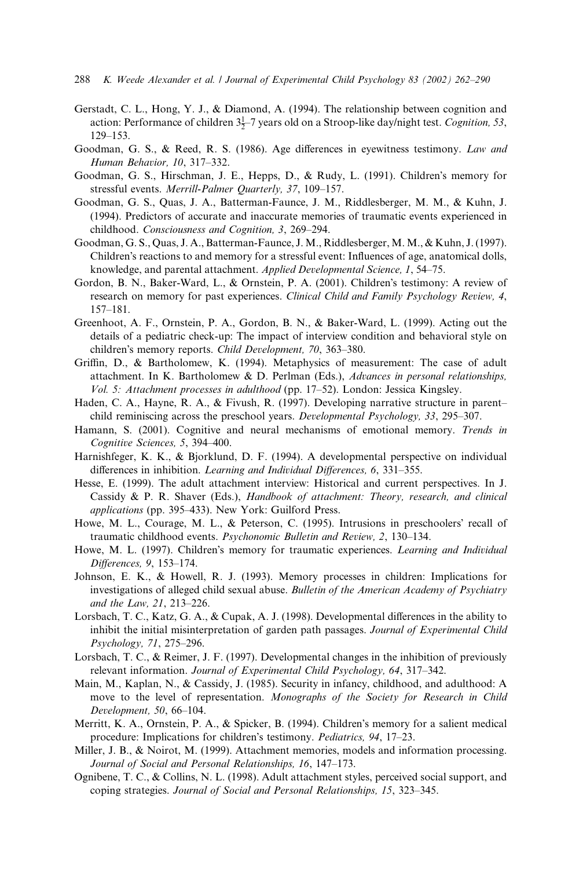288 K. Weede Alexander et al. / Journal of Experimental Child Psychology 83 (2002) 262–290

- Gerstadt, C. L., Hong, Y. J., & Diamond, A. (1994). The relationship between cognition and action: Performance of children  $3\frac{1}{2}$ –7 years old on a Stroop-like day/night test. Cognition, 53, 129–153.
- Goodman, G. S., & Reed, R. S. (1986). Age differences in eyewitness testimony. Law and Human Behavior, 10, 317–332.
- Goodman, G. S., Hirschman, J. E., Hepps, D., & Rudy, L. (1991). Children's memory for stressful events. Merrill-Palmer Quarterly, 37, 109-157.
- Goodman, G. S., Quas, J. A., Batterman-Faunce, J. M., Riddlesberger, M. M., & Kuhn, J. (1994). Predictors of accurate and inaccurate memories of traumatic events experienced in childhood. Consciousness and Cognition, 3, 269–294.
- Goodman, G. S., Quas, J. A., Batterman-Faunce, J. M., Riddlesberger, M. M., & Kuhn, J. (1997). Children's reactions to and memory for a stressful event: Influences of age, anatomical dolls, knowledge, and parental attachment. Applied Developmental Science, 1, 54–75.
- Gordon, B. N., Baker-Ward, L., & Ornstein, P. A. (2001). Children's testimony: A review of research on memory for past experiences. Clinical Child and Family Psychology Review, 4, 157–181.
- Greenhoot, A. F., Ornstein, P. A., Gordon, B. N., & Baker-Ward, L. (1999). Acting out the details of a pediatric check-up: The impact of interview condition and behavioral style on children's memory reports. Child Development, 70, 363–380.
- Griffin, D., & Bartholomew, K. (1994). Metaphysics of measurement: The case of adult attachment. In K. Bartholomew & D. Perlman (Eds.), Advances in personal relationships, Vol. 5: Attachment processes in adulthood (pp. 17–52). London: Jessica Kingsley.
- Haden, C. A., Hayne, R. A., & Fivush, R. (1997). Developing narrative structure in parent– child reminiscing across the preschool years. Developmental Psychology, 33, 295–307.
- Hamann, S. (2001). Cognitive and neural mechanisms of emotional memory. Trends in Cognitive Sciences, 5, 394–400.
- Harnishfeger, K. K., & Bjorklund, D. F. (1994). A developmental perspective on individual differences in inhibition. Learning and Individual Differences, 6, 331–355.
- Hesse, E. (1999). The adult attachment interview: Historical and current perspectives. In J. Cassidy & P. R. Shaver (Eds.), Handbook of attachment: Theory, research, and clinical applications (pp. 395–433). New York: Guilford Press.
- Howe, M. L., Courage, M. L., & Peterson, C. (1995). Intrusions in preschoolers' recall of traumatic childhood events. Psychonomic Bulletin and Review, 2, 130–134.
- Howe, M. L. (1997). Children's memory for traumatic experiences. Learning and Individual Differences, 9, 153–174.
- Johnson, E. K., & Howell, R. J. (1993). Memory processes in children: Implications for investigations of alleged child sexual abuse. Bulletin of the American Academy of Psychiatry and the Law, 21, 213–226.
- Lorsbach, T. C., Katz, G. A., & Cupak, A. J. (1998). Developmental differences in the ability to inhibit the initial misinterpretation of garden path passages. Journal of Experimental Child Psychology, 71, 275–296.
- Lorsbach, T. C., & Reimer, J. F. (1997). Developmental changes in the inhibition of previously relevant information. Journal of Experimental Child Psychology, 64, 317–342.
- Main, M., Kaplan, N., & Cassidy, J. (1985). Security in infancy, childhood, and adulthood: A move to the level of representation. Monographs of the Society for Research in Child Development, 50, 66–104.
- Merritt, K. A., Ornstein, P. A., & Spicker, B. (1994). Children's memory for a salient medical procedure: Implications for children's testimony. Pediatrics, 94, 17-23.
- Miller, J. B., & Noirot, M. (1999). Attachment memories, models and information processing. Journal of Social and Personal Relationships, 16, 147–173.
- Ognibene, T. C., & Collins, N. L. (1998). Adult attachment styles, perceived social support, and coping strategies. Journal of Social and Personal Relationships, 15, 323–345.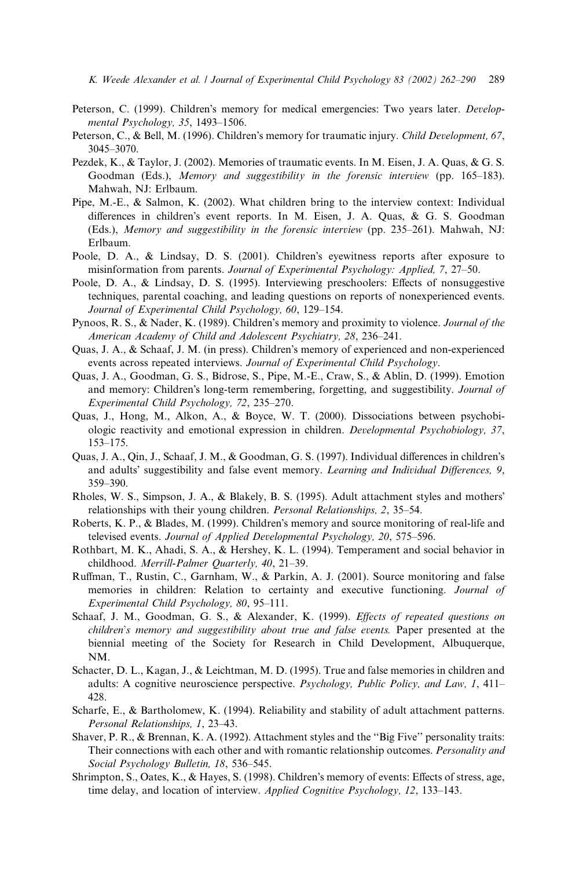K. Weede Alexander et al. / Journal of Experimental Child Psychology 83 (2002) 262–290 289

- Peterson, C. (1999). Children's memory for medical emergencies: Two years later. *Develop*mental Psychology, 35, 1493–1506.
- Peterson, C., & Bell, M. (1996). Children's memory for traumatic injury. Child Development, 67, 3045–3070.
- Pezdek, K., & Taylor, J. (2002). Memories of traumatic events. In M. Eisen, J. A. Quas, & G. S. Goodman (Eds.), Memory and suggestibility in the forensic interview (pp. 165–183). Mahwah, NJ: Erlbaum.
- Pipe, M.-E., & Salmon, K. (2002). What children bring to the interview context: Individual differences in children's event reports. In M. Eisen, J. A. Quas, & G. S. Goodman (Eds.), Memory and suggestibility in the forensic interview (pp. 235–261). Mahwah, NJ: Erlbaum.
- Poole, D. A., & Lindsay, D. S. (2001). Children's eyewitness reports after exposure to misinformation from parents. Journal of Experimental Psychology: Applied, 7, 27–50.
- Poole, D. A., & Lindsay, D. S. (1995). Interviewing preschoolers: Effects of nonsuggestive techniques, parental coaching, and leading questions on reports of nonexperienced events. Journal of Experimental Child Psychology, 60, 129–154.
- Pynoos, R. S., & Nader, K. (1989). Children's memory and proximity to violence. Journal of the American Academy of Child and Adolescent Psychiatry, 28, 236–241.
- Quas, J. A.,  $\&$  Schaaf, J. M. (in press). Children's memory of experienced and non-experienced events across repeated interviews. Journal of Experimental Child Psychology.
- Quas, J. A., Goodman, G. S., Bidrose, S., Pipe, M.-E., Craw, S., & Ablin, D. (1999). Emotion and memory: Children's long-term remembering, forgetting, and suggestibility. Journal of Experimental Child Psychology, 72, 235–270.
- Quas, J., Hong, M., Alkon, A., & Boyce, W. T. (2000). Dissociations between psychobiologic reactivity and emotional expression in children. Developmental Psychobiology, 37, 153–175.
- Quas, J. A., Qin, J., Schaaf, J. M., & Goodman, G. S. (1997). Individual differences in children's and adults' suggestibility and false event memory. Learning and Individual Differences, 9, 359–390.
- Rholes, W. S., Simpson, J. A., & Blakely, B. S. (1995). Adult attachment styles and mothers relationships with their young children. Personal Relationships, 2, 35–54.
- Roberts, K. P., & Blades, M. (1999). Children's memory and source monitoring of real-life and televised events. Journal of Applied Developmental Psychology, 20, 575–596.
- Rothbart, M. K., Ahadi, S. A., & Hershey, K. L. (1994). Temperament and social behavior in childhood. Merrill-Palmer Quarterly, 40, 21-39.
- Ruffman, T., Rustin, C., Garnham, W., & Parkin, A. J. (2001). Source monitoring and false memories in children: Relation to certainty and executive functioning. Journal of Experimental Child Psychology, 80, 95–111.
- Schaaf, J. M., Goodman, G. S., & Alexander, K. (1999). Effects of repeated questions on children's memory and suggestibility about true and false events. Paper presented at the biennial meeting of the Society for Research in Child Development, Albuquerque, NM.
- Schacter, D. L., Kagan, J., & Leichtman, M. D. (1995). True and false memories in children and adults: A cognitive neuroscience perspective. Psychology, Public Policy, and Law, 1, 411– 428.
- Scharfe, E., & Bartholomew, K. (1994). Reliability and stability of adult attachment patterns. Personal Relationships, 1, 23–43.
- Shaver, P. R., & Brennan, K. A. (1992). Attachment styles and the ''Big Five'' personality traits: Their connections with each other and with romantic relationship outcomes. *Personality and* Social Psychology Bulletin, 18, 536–545.
- Shrimpton, S., Oates, K., & Hayes, S. (1998). Children's memory of events: Effects of stress, age, time delay, and location of interview. Applied Cognitive Psychology, 12, 133–143.